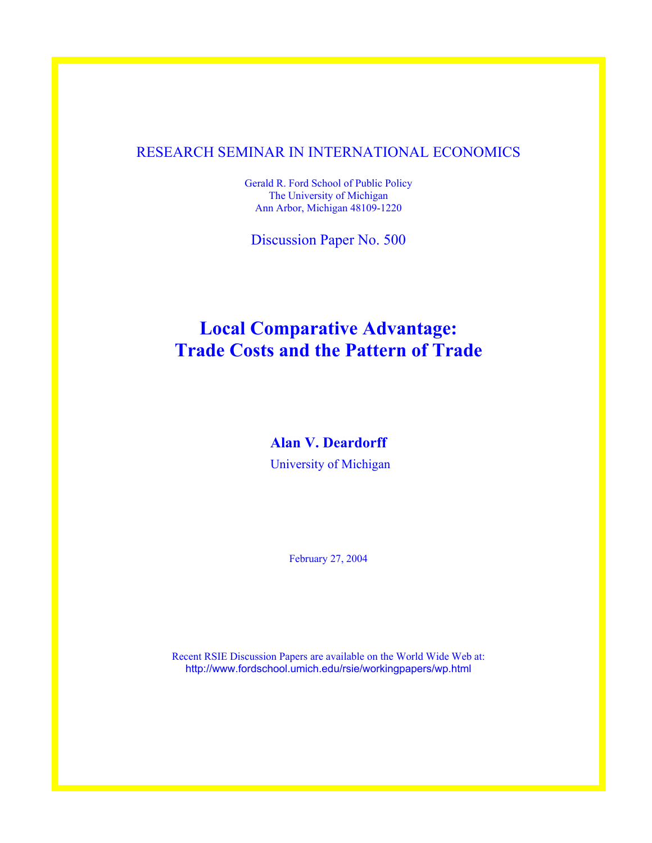# RESEARCH SEMINAR IN INTERNATIONAL ECONOMICS

Gerald R. Ford School of Public Policy The University of Michigan Ann Arbor, Michigan 48109-1220

Discussion Paper No. 500

# **Local Comparative Advantage: Trade Costs and the Pattern of Trade**

**Alan V. Deardorff** 

University of Michigan

February 27, 2004

Recent RSIE Discussion Papers are available on the World Wide Web at: http://www.fordschool.umich.edu/rsie/workingpapers/wp.html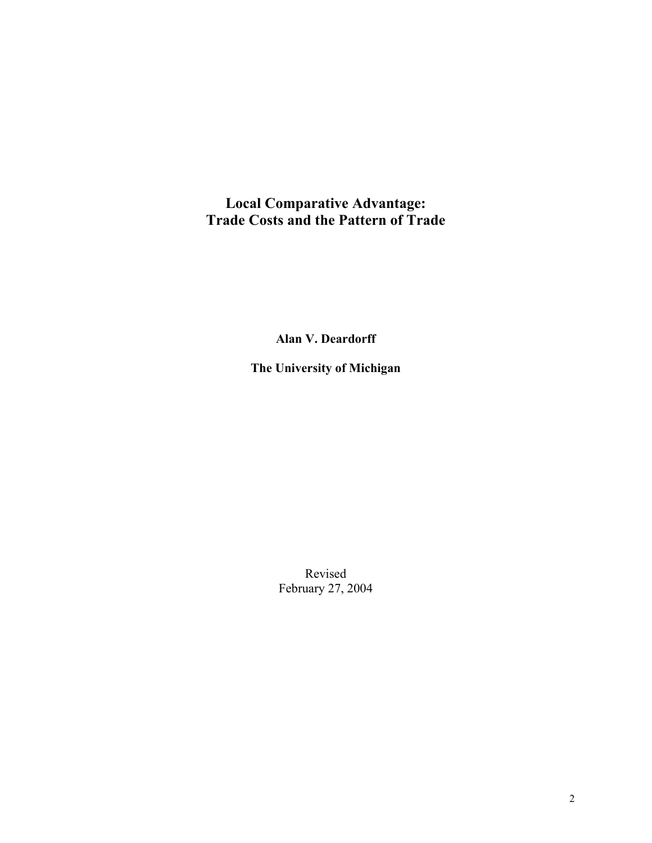**Local Comparative Advantage: Trade Costs and the Pattern of Trade**

**Alan V. Deardorff** 

**The University of Michigan** 

Revised February 27, 2004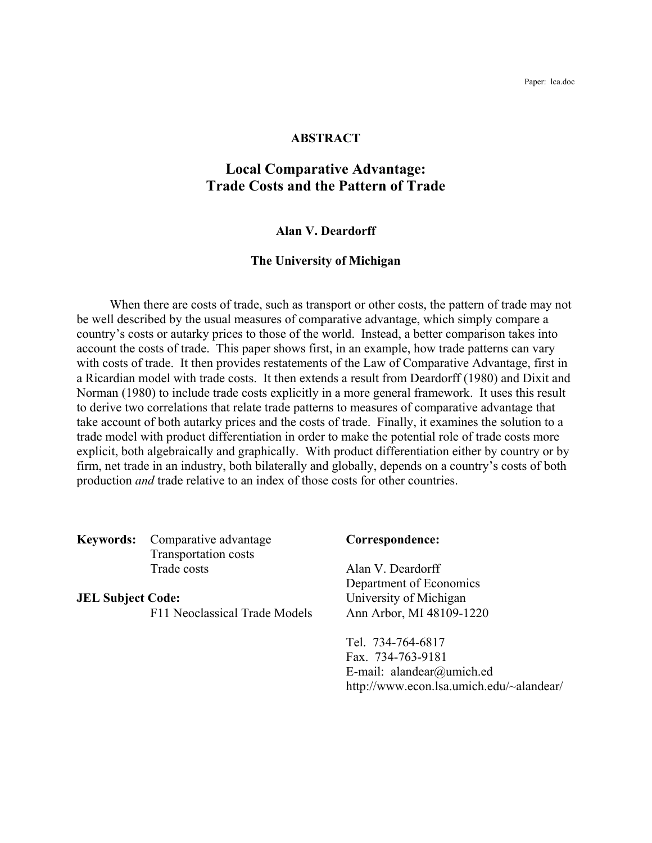Paper: lca.doc

#### **ABSTRACT**

# **Local Comparative Advantage: Trade Costs and the Pattern of Trade**

# **Alan V. Deardorff**

# **The University of Michigan**

 When there are costs of trade, such as transport or other costs, the pattern of trade may not be well described by the usual measures of comparative advantage, which simply compare a country's costs or autarky prices to those of the world. Instead, a better comparison takes into account the costs of trade. This paper shows first, in an example, how trade patterns can vary with costs of trade. It then provides restatements of the Law of Comparative Advantage, first in a Ricardian model with trade costs. It then extends a result from Deardorff (1980) and Dixit and Norman (1980) to include trade costs explicitly in a more general framework. It uses this result to derive two correlations that relate trade patterns to measures of comparative advantage that take account of both autarky prices and the costs of trade. Finally, it examines the solution to a trade model with product differentiation in order to make the potential role of trade costs more explicit, both algebraically and graphically. With product differentiation either by country or by firm, net trade in an industry, both bilaterally and globally, depends on a country's costs of both production *and* trade relative to an index of those costs for other countries.

| <b>Keywords:</b> Comparative advantage |
|----------------------------------------|
| Transportation costs                   |
| Trade costs                            |

# $Correspondence:$

Alan V. Deardorff Department of Economics **JEL Subject Code:** University of Michigan F11 Neoclassical Trade Models Ann Arbor, MI 48109-1220

> Tel. 734-764-6817 Fax. 734-763-9181 E-mail: alandear@umich.ed http://www.econ.lsa.umich.edu/~alandear/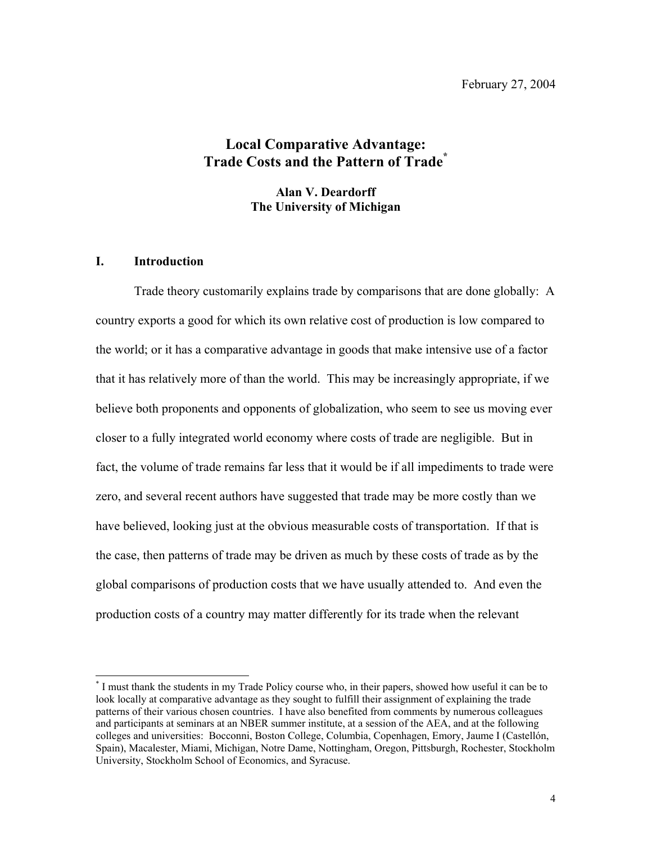# **Local Comparative Advantage: Trade Costs and the Pattern of Trade\***

**Alan V. Deardorff The University of Michigan** 

#### **I. Introduction**

 $\overline{\phantom{a}}$ 

Trade theory customarily explains trade by comparisons that are done globally: A country exports a good for which its own relative cost of production is low compared to the world; or it has a comparative advantage in goods that make intensive use of a factor that it has relatively more of than the world. This may be increasingly appropriate, if we believe both proponents and opponents of globalization, who seem to see us moving ever closer to a fully integrated world economy where costs of trade are negligible. But in fact, the volume of trade remains far less that it would be if all impediments to trade were zero, and several recent authors have suggested that trade may be more costly than we have believed, looking just at the obvious measurable costs of transportation. If that is the case, then patterns of trade may be driven as much by these costs of trade as by the global comparisons of production costs that we have usually attended to. And even the production costs of a country may matter differently for its trade when the relevant

<sup>\*</sup> I must thank the students in my Trade Policy course who, in their papers, showed how useful it can be to look locally at comparative advantage as they sought to fulfill their assignment of explaining the trade patterns of their various chosen countries. I have also benefited from comments by numerous colleagues and participants at seminars at an NBER summer institute, at a session of the AEA, and at the following colleges and universities: Bocconni, Boston College, Columbia, Copenhagen, Emory, Jaume I (Castellón, Spain), Macalester, Miami, Michigan, Notre Dame, Nottingham, Oregon, Pittsburgh, Rochester, Stockholm University, Stockholm School of Economics, and Syracuse.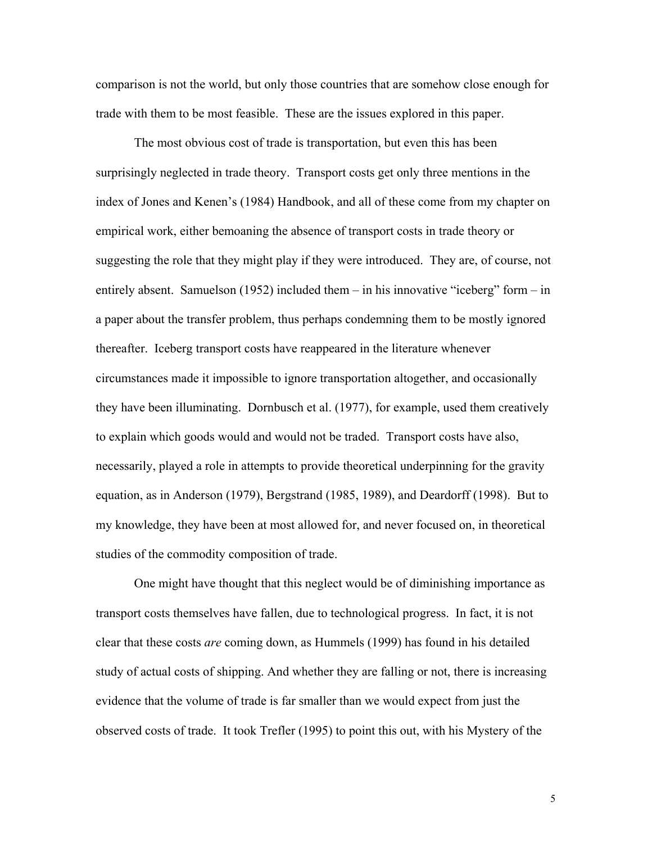comparison is not the world, but only those countries that are somehow close enough for trade with them to be most feasible. These are the issues explored in this paper.

The most obvious cost of trade is transportation, but even this has been surprisingly neglected in trade theory. Transport costs get only three mentions in the index of Jones and Kenen's (1984) Handbook, and all of these come from my chapter on empirical work, either bemoaning the absence of transport costs in trade theory or suggesting the role that they might play if they were introduced. They are, of course, not entirely absent. Samuelson (1952) included them – in his innovative "iceberg" form – in a paper about the transfer problem, thus perhaps condemning them to be mostly ignored thereafter. Iceberg transport costs have reappeared in the literature whenever circumstances made it impossible to ignore transportation altogether, and occasionally they have been illuminating. Dornbusch et al. (1977), for example, used them creatively to explain which goods would and would not be traded. Transport costs have also, necessarily, played a role in attempts to provide theoretical underpinning for the gravity equation, as in Anderson (1979), Bergstrand (1985, 1989), and Deardorff (1998). But to my knowledge, they have been at most allowed for, and never focused on, in theoretical studies of the commodity composition of trade.

One might have thought that this neglect would be of diminishing importance as transport costs themselves have fallen, due to technological progress. In fact, it is not clear that these costs *are* coming down, as Hummels (1999) has found in his detailed study of actual costs of shipping. And whether they are falling or not, there is increasing evidence that the volume of trade is far smaller than we would expect from just the observed costs of trade. It took Trefler (1995) to point this out, with his Mystery of the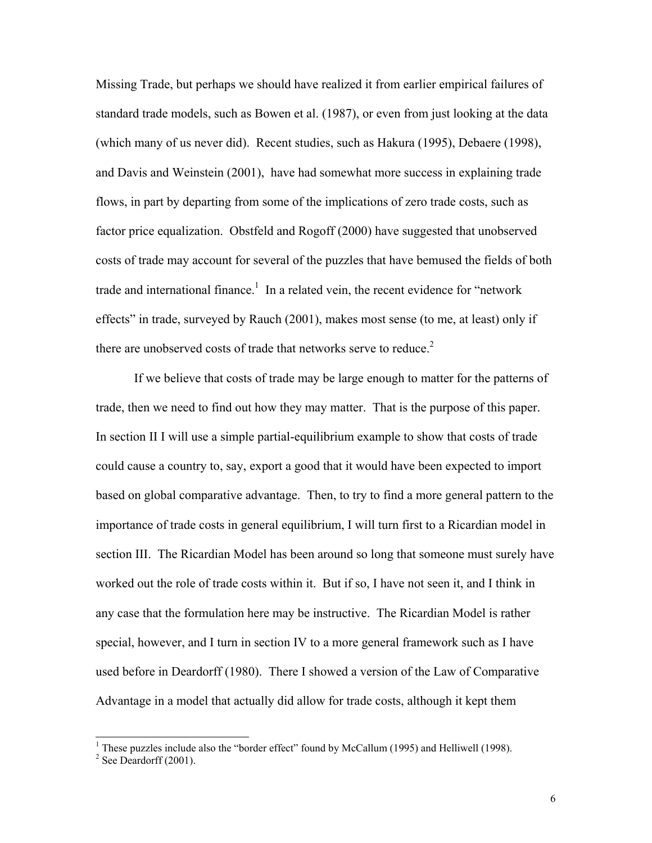Missing Trade, but perhaps we should have realized it from earlier empirical failures of standard trade models, such as Bowen et al. (1987), or even from just looking at the data (which many of us never did). Recent studies, such as Hakura (1995), Debaere (1998), and Davis and Weinstein (2001), have had somewhat more success in explaining trade flows, in part by departing from some of the implications of zero trade costs, such as factor price equalization. Obstfeld and Rogoff (2000) have suggested that unobserved costs of trade may account for several of the puzzles that have bemused the fields of both trade and international finance.<sup>1</sup> In a related vein, the recent evidence for "network" effects" in trade, surveyed by Rauch (2001), makes most sense (to me, at least) only if there are unobserved costs of trade that networks serve to reduce.<sup>2</sup>

If we believe that costs of trade may be large enough to matter for the patterns of trade, then we need to find out how they may matter. That is the purpose of this paper. In section II I will use a simple partial-equilibrium example to show that costs of trade could cause a country to, say, export a good that it would have been expected to import based on global comparative advantage. Then, to try to find a more general pattern to the importance of trade costs in general equilibrium, I will turn first to a Ricardian model in section III. The Ricardian Model has been around so long that someone must surely have worked out the role of trade costs within it. But if so, I have not seen it, and I think in any case that the formulation here may be instructive. The Ricardian Model is rather special, however, and I turn in section IV to a more general framework such as I have used before in Deardorff (1980). There I showed a version of the Law of Comparative Advantage in a model that actually did allow for trade costs, although it kept them

<sup>&</sup>lt;sup>1</sup> These puzzles include also the "border effect" found by McCallum (1995) and Helliwell (1998).

 $2^2$  See Deardorff (2001).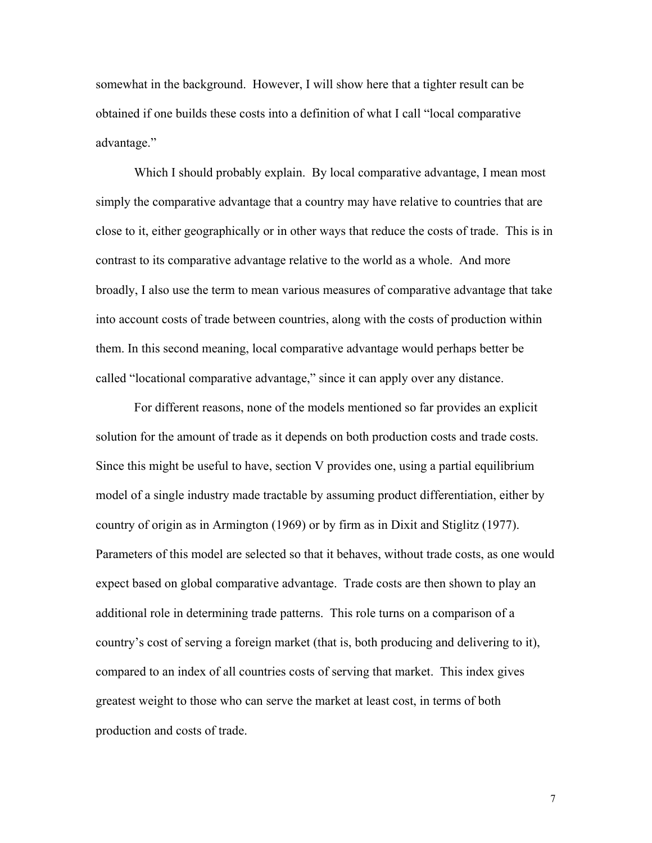somewhat in the background. However, I will show here that a tighter result can be obtained if one builds these costs into a definition of what I call "local comparative advantage."

Which I should probably explain. By local comparative advantage, I mean most simply the comparative advantage that a country may have relative to countries that are close to it, either geographically or in other ways that reduce the costs of trade. This is in contrast to its comparative advantage relative to the world as a whole. And more broadly, I also use the term to mean various measures of comparative advantage that take into account costs of trade between countries, along with the costs of production within them. In this second meaning, local comparative advantage would perhaps better be called "locational comparative advantage," since it can apply over any distance.

For different reasons, none of the models mentioned so far provides an explicit solution for the amount of trade as it depends on both production costs and trade costs. Since this might be useful to have, section V provides one, using a partial equilibrium model of a single industry made tractable by assuming product differentiation, either by country of origin as in Armington (1969) or by firm as in Dixit and Stiglitz (1977). Parameters of this model are selected so that it behaves, without trade costs, as one would expect based on global comparative advantage. Trade costs are then shown to play an additional role in determining trade patterns. This role turns on a comparison of a country's cost of serving a foreign market (that is, both producing and delivering to it), compared to an index of all countries costs of serving that market. This index gives greatest weight to those who can serve the market at least cost, in terms of both production and costs of trade.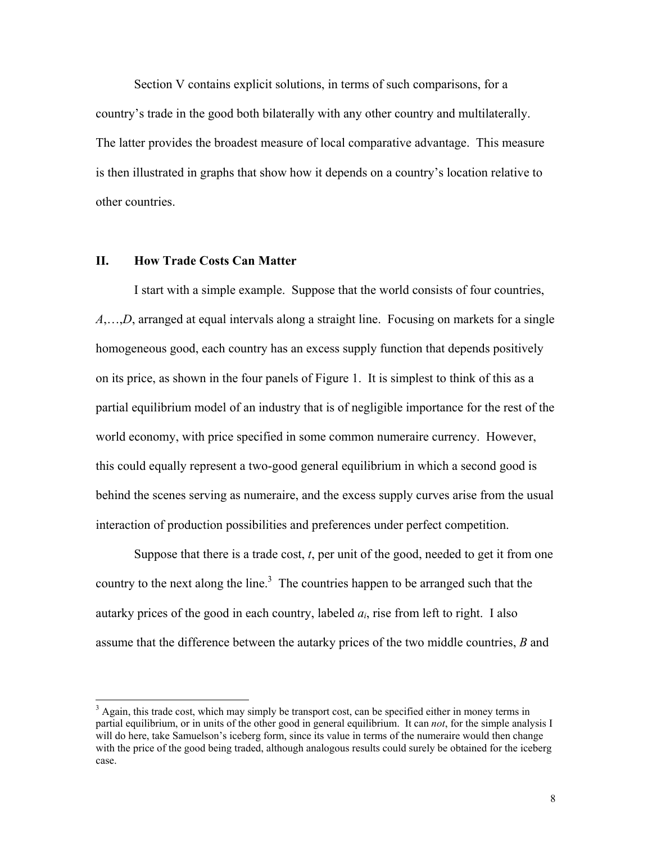Section V contains explicit solutions, in terms of such comparisons, for a country's trade in the good both bilaterally with any other country and multilaterally. The latter provides the broadest measure of local comparative advantage. This measure is then illustrated in graphs that show how it depends on a country's location relative to other countries.

# **II. How Trade Costs Can Matter**

 $\overline{\phantom{a}}$ 

I start with a simple example. Suppose that the world consists of four countries, *A*,…,*D*, arranged at equal intervals along a straight line. Focusing on markets for a single homogeneous good, each country has an excess supply function that depends positively on its price, as shown in the four panels of Figure 1. It is simplest to think of this as a partial equilibrium model of an industry that is of negligible importance for the rest of the world economy, with price specified in some common numeraire currency. However, this could equally represent a two-good general equilibrium in which a second good is behind the scenes serving as numeraire, and the excess supply curves arise from the usual interaction of production possibilities and preferences under perfect competition.

Suppose that there is a trade cost, *t*, per unit of the good, needed to get it from one country to the next along the line.<sup>3</sup> The countries happen to be arranged such that the autarky prices of the good in each country, labeled *ai*, rise from left to right. I also assume that the difference between the autarky prices of the two middle countries, *B* and

<sup>&</sup>lt;sup>3</sup> Again, this trade cost, which may simply be transport cost, can be specified either in money terms in partial equilibrium, or in units of the other good in general equilibrium. It can *not*, for the simple analysis I will do here, take Samuelson's iceberg form, since its value in terms of the numeraire would then change with the price of the good being traded, although analogous results could surely be obtained for the iceberg case.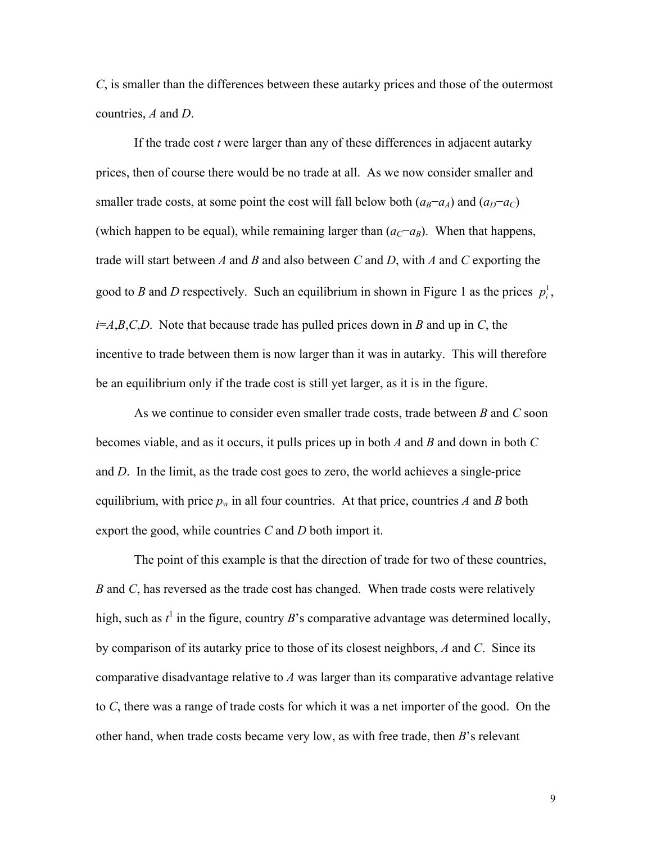*C*, is smaller than the differences between these autarky prices and those of the outermost countries, *A* and *D*.

If the trade cost *t* were larger than any of these differences in adjacent autarky prices, then of course there would be no trade at all. As we now consider smaller and smaller trade costs, at some point the cost will fall below both  $(a_B-a_A)$  and  $(a_D-a_C)$ (which happen to be equal), while remaining larger than  $(a_C-a_B)$ . When that happens, trade will start between *A* and *B* and also between *C* and *D*, with *A* and *C* exporting the good to *B* and *D* respectively. Such an equilibrium in shown in Figure 1 as the prices  $p_i^1$ , *i*=*A*,*B*,*C*,*D*. Note that because trade has pulled prices down in *B* and up in *C*, the incentive to trade between them is now larger than it was in autarky. This will therefore be an equilibrium only if the trade cost is still yet larger, as it is in the figure.

As we continue to consider even smaller trade costs, trade between *B* and *C* soon becomes viable, and as it occurs, it pulls prices up in both *A* and *B* and down in both *C* and *D*. In the limit, as the trade cost goes to zero, the world achieves a single-price equilibrium, with price  $p_w$  in all four countries. At that price, countries *A* and *B* both export the good, while countries *C* and *D* both import it.

The point of this example is that the direction of trade for two of these countries, *B* and *C*, has reversed as the trade cost has changed. When trade costs were relatively high, such as  $t^1$  in the figure, country *B*'s comparative advantage was determined locally, by comparison of its autarky price to those of its closest neighbors, *A* and *C*. Since its comparative disadvantage relative to *A* was larger than its comparative advantage relative to *C*, there was a range of trade costs for which it was a net importer of the good. On the other hand, when trade costs became very low, as with free trade, then *B*'s relevant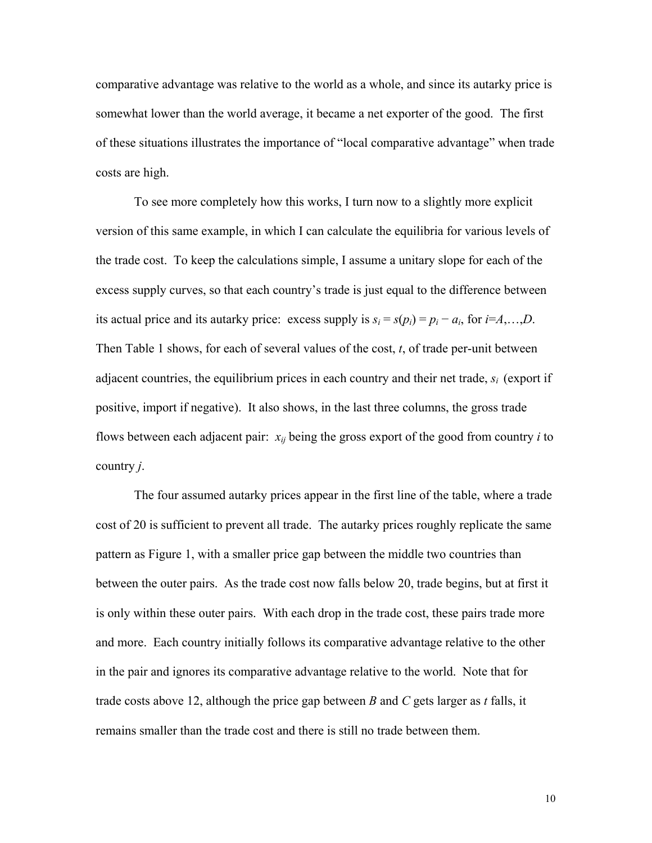comparative advantage was relative to the world as a whole, and since its autarky price is somewhat lower than the world average, it became a net exporter of the good. The first of these situations illustrates the importance of "local comparative advantage" when trade costs are high.

To see more completely how this works, I turn now to a slightly more explicit version of this same example, in which I can calculate the equilibria for various levels of the trade cost. To keep the calculations simple, I assume a unitary slope for each of the excess supply curves, so that each country's trade is just equal to the difference between its actual price and its autarky price: excess supply is  $s_i = s(p_i) = p_i - a_i$ , for  $i = A, \ldots, D$ . Then Table 1 shows, for each of several values of the cost, *t*, of trade per-unit between adjacent countries, the equilibrium prices in each country and their net trade,  $s_i$  (export if positive, import if negative). It also shows, in the last three columns, the gross trade flows between each adjacent pair:  $x_{ij}$  being the gross export of the good from country  $i$  to country *j*.

The four assumed autarky prices appear in the first line of the table, where a trade cost of 20 is sufficient to prevent all trade. The autarky prices roughly replicate the same pattern as Figure 1, with a smaller price gap between the middle two countries than between the outer pairs. As the trade cost now falls below 20, trade begins, but at first it is only within these outer pairs. With each drop in the trade cost, these pairs trade more and more. Each country initially follows its comparative advantage relative to the other in the pair and ignores its comparative advantage relative to the world. Note that for trade costs above 12, although the price gap between *B* and *C* gets larger as *t* falls, it remains smaller than the trade cost and there is still no trade between them.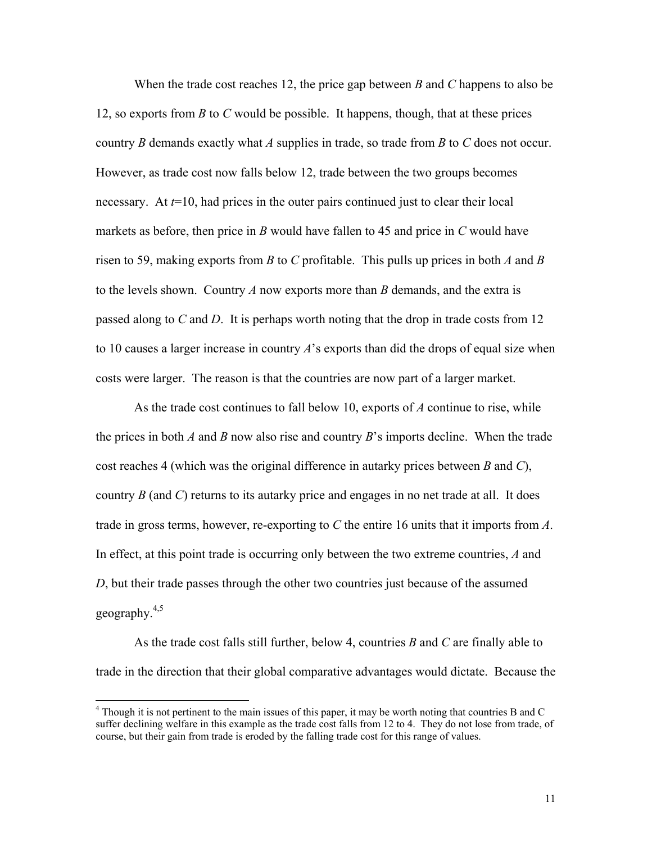When the trade cost reaches 12, the price gap between *B* and *C* happens to also be 12, so exports from *B* to *C* would be possible. It happens, though, that at these prices country *B* demands exactly what *A* supplies in trade, so trade from *B* to *C* does not occur. However, as trade cost now falls below 12, trade between the two groups becomes necessary. At  $t=10$ , had prices in the outer pairs continued just to clear their local markets as before, then price in *B* would have fallen to 45 and price in *C* would have risen to 59, making exports from *B* to *C* profitable. This pulls up prices in both *A* and *B* to the levels shown. Country *A* now exports more than *B* demands, and the extra is passed along to *C* and *D*. It is perhaps worth noting that the drop in trade costs from 12 to 10 causes a larger increase in country *A*'s exports than did the drops of equal size when costs were larger. The reason is that the countries are now part of a larger market.

As the trade cost continues to fall below 10, exports of *A* continue to rise, while the prices in both *A* and *B* now also rise and country *B*'s imports decline. When the trade cost reaches 4 (which was the original difference in autarky prices between *B* and *C*), country *B* (and *C*) returns to its autarky price and engages in no net trade at all. It does trade in gross terms, however, re-exporting to *C* the entire 16 units that it imports from *A*. In effect, at this point trade is occurring only between the two extreme countries, *A* and *D*, but their trade passes through the other two countries just because of the assumed geography. $4,5$ 

As the trade cost falls still further, below 4, countries *B* and *C* are finally able to trade in the direction that their global comparative advantages would dictate. Because the

<sup>&</sup>lt;sup>4</sup> Though it is not pertinent to the main issues of this paper, it may be worth noting that countries B and C suffer declining welfare in this example as the trade cost falls from 12 to 4. They do not lose from trade, of course, but their gain from trade is eroded by the falling trade cost for this range of values.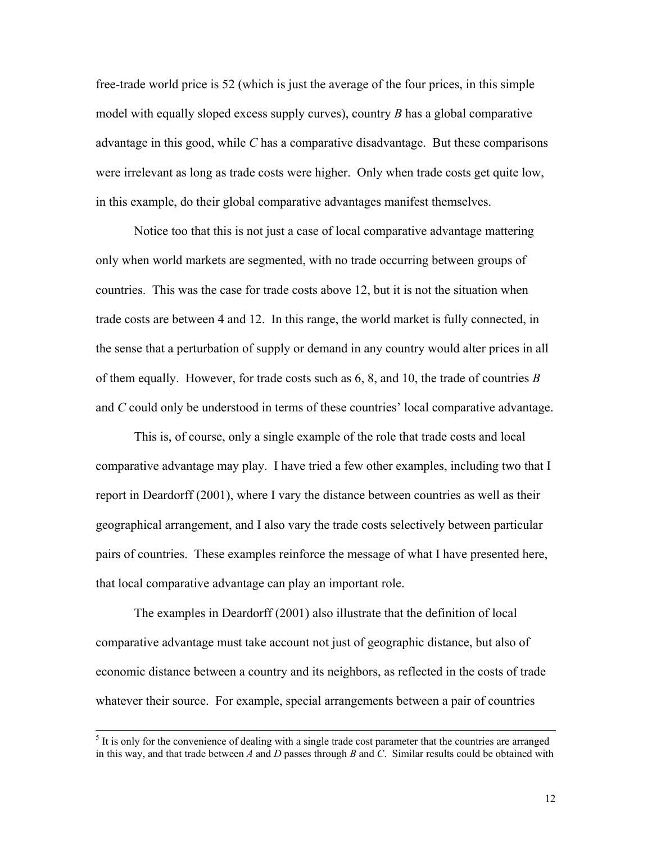free-trade world price is 52 (which is just the average of the four prices, in this simple model with equally sloped excess supply curves), country *B* has a global comparative advantage in this good, while *C* has a comparative disadvantage. But these comparisons were irrelevant as long as trade costs were higher. Only when trade costs get quite low, in this example, do their global comparative advantages manifest themselves.

Notice too that this is not just a case of local comparative advantage mattering only when world markets are segmented, with no trade occurring between groups of countries. This was the case for trade costs above 12, but it is not the situation when trade costs are between 4 and 12. In this range, the world market is fully connected, in the sense that a perturbation of supply or demand in any country would alter prices in all of them equally. However, for trade costs such as 6, 8, and 10, the trade of countries *B* and *C* could only be understood in terms of these countries' local comparative advantage.

This is, of course, only a single example of the role that trade costs and local comparative advantage may play. I have tried a few other examples, including two that I report in Deardorff (2001), where I vary the distance between countries as well as their geographical arrangement, and I also vary the trade costs selectively between particular pairs of countries. These examples reinforce the message of what I have presented here, that local comparative advantage can play an important role.

The examples in Deardorff (2001) also illustrate that the definition of local comparative advantage must take account not just of geographic distance, but also of economic distance between a country and its neighbors, as reflected in the costs of trade whatever their source. For example, special arrangements between a pair of countries

 <sup>5</sup>  $<sup>5</sup>$  It is only for the convenience of dealing with a single trade cost parameter that the countries are arranged</sup> in this way, and that trade between *A* and *D* passes through *B* and *C*. Similar results could be obtained with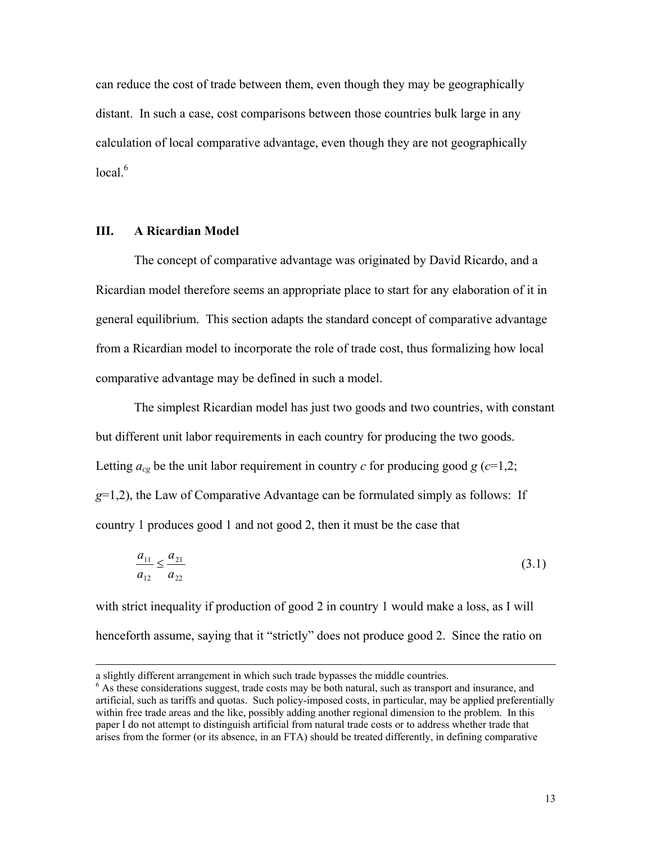can reduce the cost of trade between them, even though they may be geographically distant. In such a case, cost comparisons between those countries bulk large in any calculation of local comparative advantage, even though they are not geographically local $6$ 

# **III. A Ricardian Model**

 $\overline{\phantom{a}}$ 

The concept of comparative advantage was originated by David Ricardo, and a Ricardian model therefore seems an appropriate place to start for any elaboration of it in general equilibrium. This section adapts the standard concept of comparative advantage from a Ricardian model to incorporate the role of trade cost, thus formalizing how local comparative advantage may be defined in such a model.

The simplest Ricardian model has just two goods and two countries, with constant but different unit labor requirements in each country for producing the two goods. Letting  $a_{cg}$  be the unit labor requirement in country *c* for producing good *g* (*c*=1,2; *g*=1,2), the Law of Comparative Advantage can be formulated simply as follows: If country 1 produces good 1 and not good 2, then it must be the case that

$$
\frac{a_{11}}{a_{12}} \le \frac{a_{21}}{a_{22}} \tag{3.1}
$$

with strict inequality if production of good 2 in country 1 would make a loss, as I will henceforth assume, saying that it "strictly" does not produce good 2. Since the ratio on

a slightly different arrangement in which such trade bypasses the middle countries.

<sup>&</sup>lt;sup>6</sup> As these considerations suggest, trade costs may be both natural, such as transport and insurance, and artificial, such as tariffs and quotas. Such policy-imposed costs, in particular, may be applied preferentially within free trade areas and the like, possibly adding another regional dimension to the problem. In this paper I do not attempt to distinguish artificial from natural trade costs or to address whether trade that arises from the former (or its absence, in an FTA) should be treated differently, in defining comparative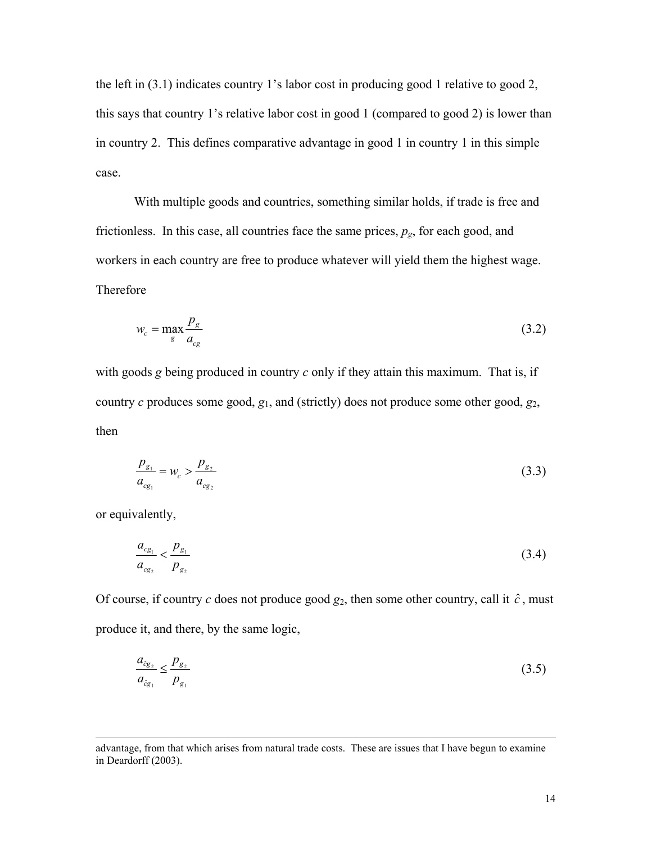the left in (3.1) indicates country 1's labor cost in producing good 1 relative to good 2, this says that country 1's relative labor cost in good 1 (compared to good 2) is lower than in country 2. This defines comparative advantage in good 1 in country 1 in this simple case.

 With multiple goods and countries, something similar holds, if trade is free and frictionless. In this case, all countries face the same prices, *pg*, for each good, and workers in each country are free to produce whatever will yield them the highest wage. Therefore

$$
w_c = \max_g \frac{p_g}{a_{cg}} \tag{3.2}
$$

with goods *g* being produced in country *c* only if they attain this maximum. That is, if country *c* produces some good, *g*1, and (strictly) does not produce some other good, *g*2, then

$$
\frac{p_{g_1}}{a_{cg_1}} = w_c > \frac{p_{g_2}}{a_{cg_2}}\tag{3.3}
$$

or equivalently,

 $\overline{\phantom{a}}$ 

$$
\frac{a_{c_{s_1}}}{a_{c_{s_2}}} < \frac{p_{s_1}}{p_{s_2}}\tag{3.4}
$$

Of course, if country  $c$  does not produce good  $g_2$ , then some other country, call it  $\hat{c}$ , must produce it, and there, by the same logic,

$$
\frac{a_{\hat{c}_{g_2}}}{a_{\hat{c}_{g_1}}} \le \frac{p_{g_2}}{p_{g_1}}\tag{3.5}
$$

advantage, from that which arises from natural trade costs. These are issues that I have begun to examine in Deardorff (2003).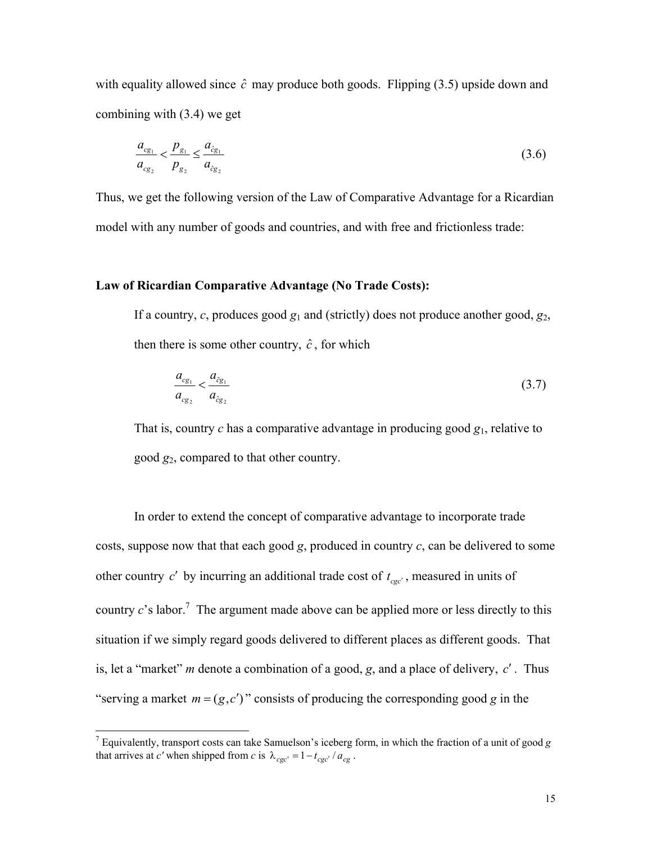with equality allowed since  $\hat{c}$  may produce both goods. Flipping  $(3.5)$  upside down and combining with (3.4) we get

$$
\frac{a_{c_{s_1}}}{a_{c_{s_2}}} < \frac{p_{s_1}}{p_{s_2}} \le \frac{a_{\hat{c}_{s_1}}}{a_{\hat{c}_{s_2}}}
$$
\n(3.6)

Thus, we get the following version of the Law of Comparative Advantage for a Ricardian model with any number of goods and countries, and with free and frictionless trade:

## **Law of Ricardian Comparative Advantage (No Trade Costs):**

If a country, *c*, produces good  $g_1$  and (strictly) does not produce another good,  $g_2$ , then there is some other country,  $\hat{c}$ , for which

$$
\frac{a_{cg_1}}{a_{cg_2}} < \frac{a_{\hat{c}g_1}}{a_{\hat{c}g_2}}\tag{3.7}
$$

That is, country *c* has a comparative advantage in producing good *g*1, relative to good *g*2, compared to that other country.

 In order to extend the concept of comparative advantage to incorporate trade costs, suppose now that that each good *g*, produced in country *c*, can be delivered to some other country  $c'$  by incurring an additional trade cost of  $t_{\text{cor}}$ , measured in units of country  $c$ 's labor.<sup>7</sup> The argument made above can be applied more or less directly to this situation if we simply regard goods delivered to different places as different goods. That is, let a "market" *m* denote a combination of a good, *g*, and a place of delivery, *c*′ . Thus "serving a market  $m = (g, c')$ " consists of producing the corresponding good *g* in the

l

<sup>7</sup> Equivalently, transport costs can take Samuelson's iceberg form, in which the fraction of a unit of good *g* that arrives at *c'* when shipped from *c* is  $\lambda_{cgc'} = 1 - t_{cgc'} / a_{cg}$ .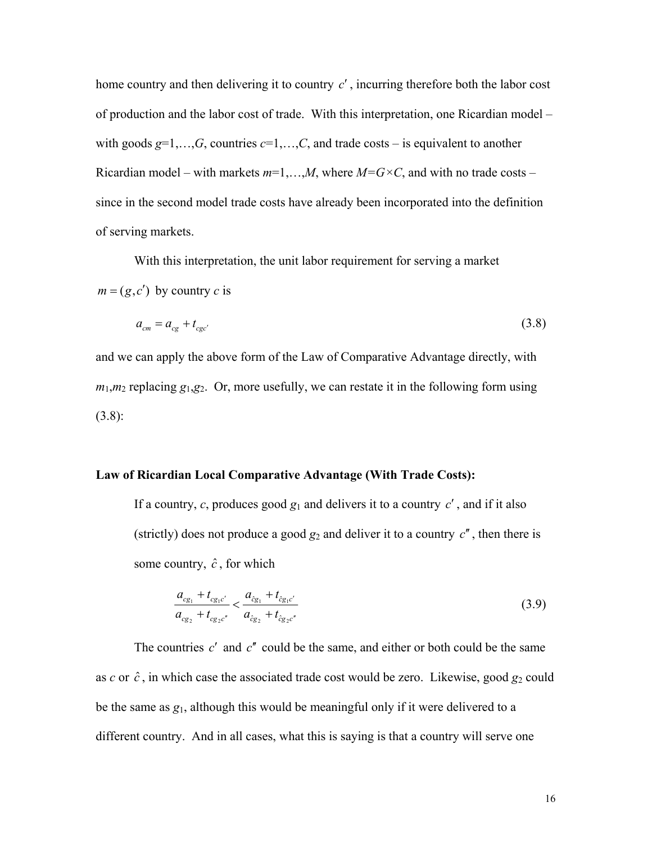home country and then delivering it to country *c*′ , incurring therefore both the labor cost of production and the labor cost of trade. With this interpretation, one Ricardian model – with goods  $g=1,...,G$ , countries  $c=1,...,C$ , and trade costs – is equivalent to another Ricardian model – with markets  $m=1,...,M$ , where  $M=G\times C$ , and with no trade costs – since in the second model trade costs have already been incorporated into the definition of serving markets.

 With this interpretation, the unit labor requirement for serving a market  $m = (g, c')$  by country *c* is

$$
a_{cm} = a_{cg} + t_{cgc'}
$$
\n
$$
(3.8)
$$

and we can apply the above form of the Law of Comparative Advantage directly, with  $m_1, m_2$  replacing  $g_1, g_2$ . Or, more usefully, we can restate it in the following form using (3.8):

#### **Law of Ricardian Local Comparative Advantage (With Trade Costs):**

If a country,  $c$ , produces good  $g_1$  and delivers it to a country  $c'$ , and if it also (strictly) does not produce a good  $g_2$  and deliver it to a country  $c''$ , then there is some country,  $\hat{c}$ , for which

$$
\frac{a_{cg_1} + t_{cg_1c'}}{a_{cg_2} + t_{cg_2c'}} < \frac{a_{\hat{c}g_1} + t_{\hat{c}g_1c'}}{a_{\hat{c}g_2} + t_{\hat{c}g_2c''}}
$$
\n(3.9)

The countries *c'* and *c''* could be the same, and either or both could be the same as *c* or  $\hat{c}$ , in which case the associated trade cost would be zero. Likewise, good  $g_2$  could be the same as *g*1, although this would be meaningful only if it were delivered to a different country. And in all cases, what this is saying is that a country will serve one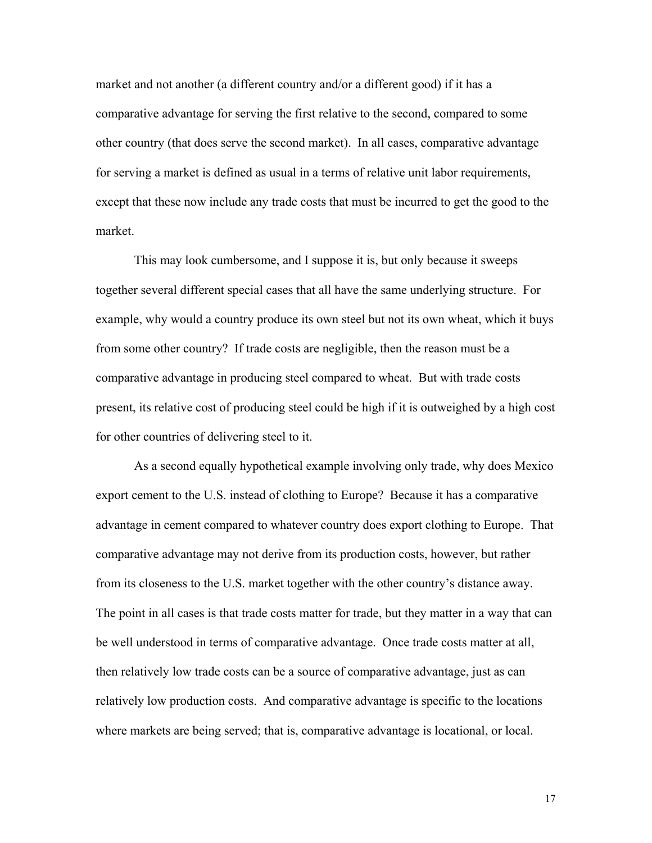market and not another (a different country and/or a different good) if it has a comparative advantage for serving the first relative to the second, compared to some other country (that does serve the second market). In all cases, comparative advantage for serving a market is defined as usual in a terms of relative unit labor requirements, except that these now include any trade costs that must be incurred to get the good to the market.

This may look cumbersome, and I suppose it is, but only because it sweeps together several different special cases that all have the same underlying structure. For example, why would a country produce its own steel but not its own wheat, which it buys from some other country? If trade costs are negligible, then the reason must be a comparative advantage in producing steel compared to wheat. But with trade costs present, its relative cost of producing steel could be high if it is outweighed by a high cost for other countries of delivering steel to it.

As a second equally hypothetical example involving only trade, why does Mexico export cement to the U.S. instead of clothing to Europe? Because it has a comparative advantage in cement compared to whatever country does export clothing to Europe. That comparative advantage may not derive from its production costs, however, but rather from its closeness to the U.S. market together with the other country's distance away. The point in all cases is that trade costs matter for trade, but they matter in a way that can be well understood in terms of comparative advantage. Once trade costs matter at all, then relatively low trade costs can be a source of comparative advantage, just as can relatively low production costs. And comparative advantage is specific to the locations where markets are being served; that is, comparative advantage is locational, or local.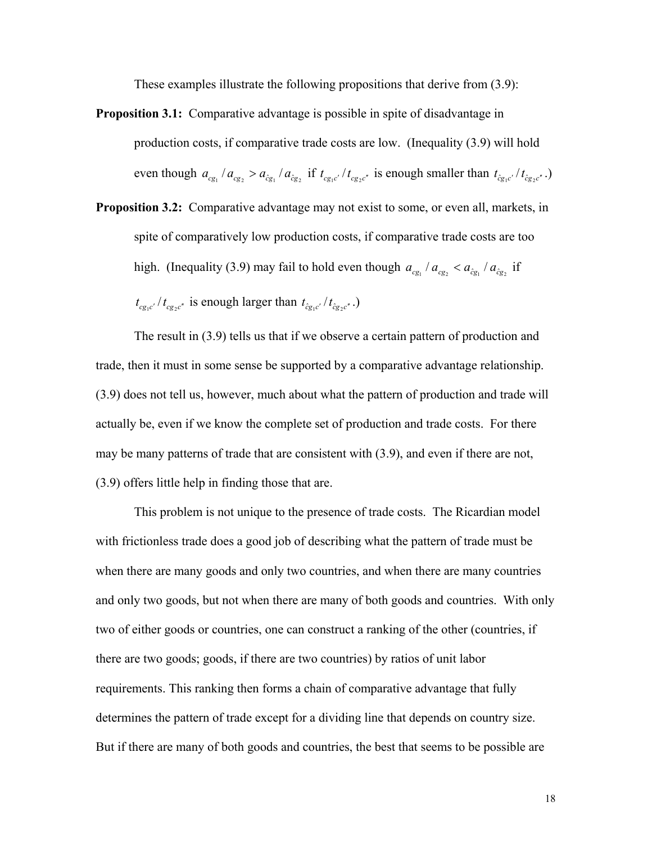These examples illustrate the following propositions that derive from (3.9):

- **Proposition 3.1:** Comparative advantage is possible in spite of disadvantage in production costs, if comparative trade costs are low. (Inequality (3.9) will hold even though  $a_{cg_1}/a_{cg_2} > a_{\hat{c}g_1}/a_{\hat{c}g_2}$  if  $t_{cg_1c'}/t_{cg_2c''}$  is enough smaller than  $t_{\hat{c}g_1c'}/t_{\hat{c}g_2c''}$ .)
- **Proposition 3.2:** Comparative advantage may not exist to some, or even all, markets, in spite of comparatively low production costs, if comparative trade costs are too high. (Inequality (3.9) may fail to hold even though  $a_{cg} / a_{cg} < a_{\hat{c}g} / a_{\hat{c}g}$  if

 $t_{cg_1c'}$  *cg<sub>s2</sub><sup>c</sup>* is enough larger than  $t_{\hat{c}g_1c'}$  / $t_{\hat{c}g_2c''}$ .)

The result in (3.9) tells us that if we observe a certain pattern of production and trade, then it must in some sense be supported by a comparative advantage relationship. (3.9) does not tell us, however, much about what the pattern of production and trade will actually be, even if we know the complete set of production and trade costs. For there may be many patterns of trade that are consistent with (3.9), and even if there are not, (3.9) offers little help in finding those that are.

This problem is not unique to the presence of trade costs. The Ricardian model with frictionless trade does a good job of describing what the pattern of trade must be when there are many goods and only two countries, and when there are many countries and only two goods, but not when there are many of both goods and countries. With only two of either goods or countries, one can construct a ranking of the other (countries, if there are two goods; goods, if there are two countries) by ratios of unit labor requirements. This ranking then forms a chain of comparative advantage that fully determines the pattern of trade except for a dividing line that depends on country size. But if there are many of both goods and countries, the best that seems to be possible are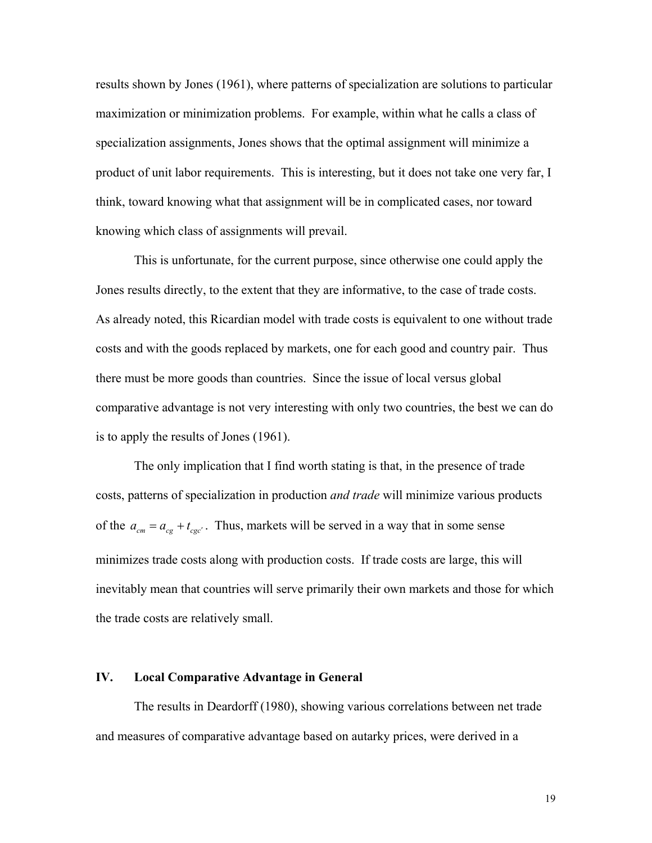results shown by Jones (1961), where patterns of specialization are solutions to particular maximization or minimization problems. For example, within what he calls a class of specialization assignments, Jones shows that the optimal assignment will minimize a product of unit labor requirements. This is interesting, but it does not take one very far, I think, toward knowing what that assignment will be in complicated cases, nor toward knowing which class of assignments will prevail.

This is unfortunate, for the current purpose, since otherwise one could apply the Jones results directly, to the extent that they are informative, to the case of trade costs. As already noted, this Ricardian model with trade costs is equivalent to one without trade costs and with the goods replaced by markets, one for each good and country pair. Thus there must be more goods than countries. Since the issue of local versus global comparative advantage is not very interesting with only two countries, the best we can do is to apply the results of Jones (1961).

The only implication that I find worth stating is that, in the presence of trade costs, patterns of specialization in production *and trade* will minimize various products of the  $a_{cm} = a_{cc} + t_{cc}$ . Thus, markets will be served in a way that in some sense minimizes trade costs along with production costs. If trade costs are large, this will inevitably mean that countries will serve primarily their own markets and those for which the trade costs are relatively small.

#### **IV. Local Comparative Advantage in General**

The results in Deardorff (1980), showing various correlations between net trade and measures of comparative advantage based on autarky prices, were derived in a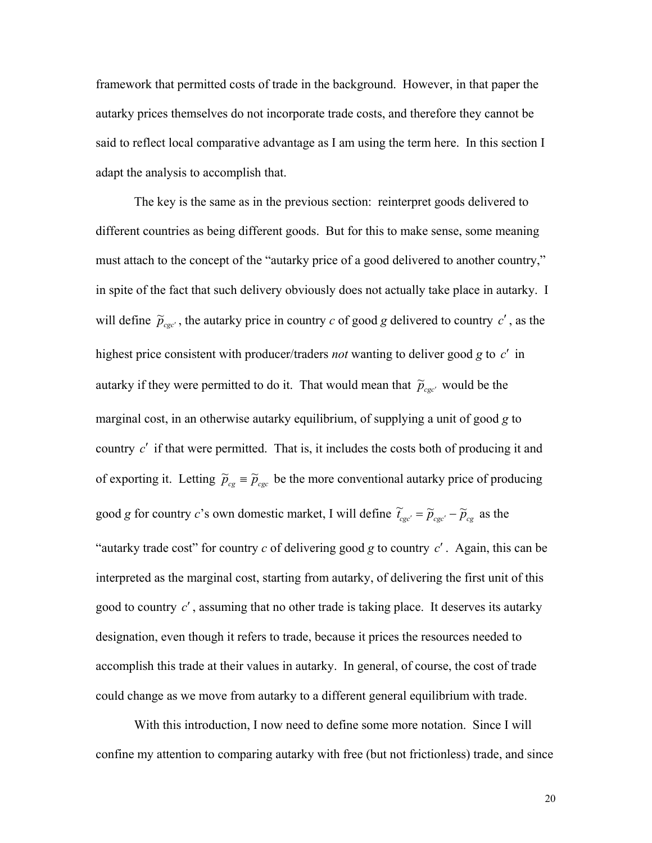framework that permitted costs of trade in the background. However, in that paper the autarky prices themselves do not incorporate trade costs, and therefore they cannot be said to reflect local comparative advantage as I am using the term here. In this section I adapt the analysis to accomplish that.

The key is the same as in the previous section: reinterpret goods delivered to different countries as being different goods. But for this to make sense, some meaning must attach to the concept of the "autarky price of a good delivered to another country," in spite of the fact that such delivery obviously does not actually take place in autarky. I will define  $\tilde{p}_{cgc'}$ , the autarky price in country *c* of good *g* delivered to country *c'*, as the highest price consistent with producer/traders *not* wanting to deliver good *g* to *c*′ in autarky if they were permitted to do it. That would mean that  $\tilde{p}_{cgc'}$  would be the marginal cost, in an otherwise autarky equilibrium, of supplying a unit of good *g* to country *c*′ if that were permitted. That is, it includes the costs both of producing it and of exporting it. Letting  $\tilde{p}_{cg} \equiv \tilde{p}_{cgc}$  be the more conventional autarky price of producing good *g* for country *c*'s own domestic market, I will define  $\tilde{t}_{cgc'} = \tilde{p}_{cgc'} - \tilde{p}_{cg}$  as the "autarky trade cost" for country *c* of delivering good *g* to country *c*′ . Again, this can be interpreted as the marginal cost, starting from autarky, of delivering the first unit of this good to country *c*′ , assuming that no other trade is taking place. It deserves its autarky designation, even though it refers to trade, because it prices the resources needed to accomplish this trade at their values in autarky. In general, of course, the cost of trade could change as we move from autarky to a different general equilibrium with trade.

With this introduction, I now need to define some more notation. Since I will confine my attention to comparing autarky with free (but not frictionless) trade, and since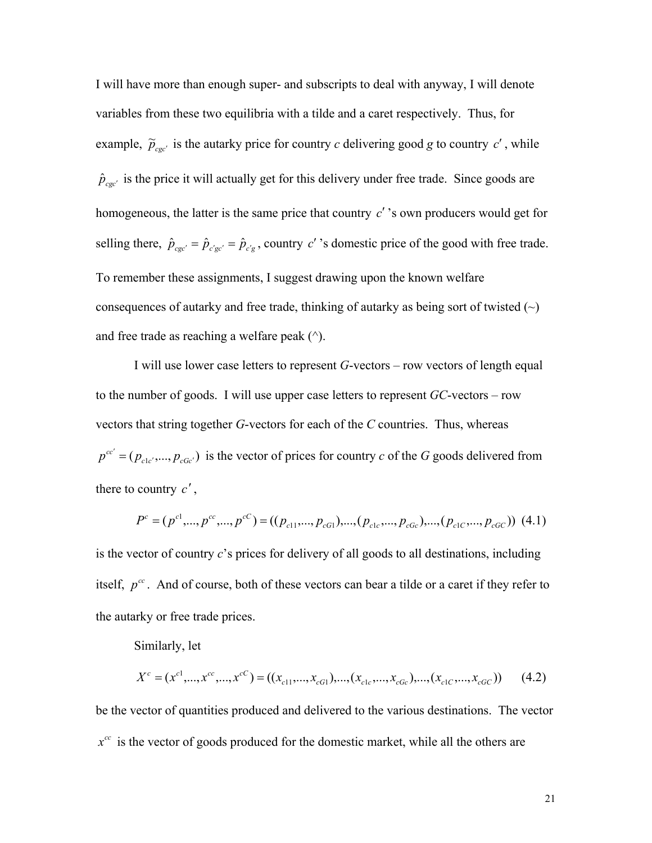I will have more than enough super- and subscripts to deal with anyway, I will denote variables from these two equilibria with a tilde and a caret respectively. Thus, for example,  $\tilde{p}_{cgc'}$  is the autarky price for country *c* delivering good *g* to country *c'*, while  $\hat{p}_{cgc'}$  is the price it will actually get for this delivery under free trade. Since goods are homogeneous, the latter is the same price that country *c*′ 's own producers would get for selling there,  $\hat{p}_{cgc'} = \hat{p}_{c'gc'} = \hat{p}_{c'g}$ , country *c'* 's domestic price of the good with free trade. To remember these assignments, I suggest drawing upon the known welfare consequences of autarky and free trade, thinking of autarky as being sort of twisted  $(\sim)$ and free trade as reaching a welfare peak  $(\hat{\theta})$ .

I will use lower case letters to represent *G*-vectors – row vectors of length equal to the number of goods. I will use upper case letters to represent *GC*-vectors – row vectors that string together *G*-vectors for each of the *C* countries. Thus, whereas  $p^{cc'} = (p_{clc'},..., p_{cGc'})$  is the vector of prices for country *c* of the *G* goods delivered from there to country *c*′ ,

$$
P^{c} = (p^{c1},...,p^{cc},...,p^{cC}) = ((p_{c11},...,p_{cG1}),..., (p_{c1c},...,p_{cGc}),..., (p_{c1C},...,p_{cGC}))
$$
(4.1)

is the vector of country *c*'s prices for delivery of all goods to all destinations, including itself,  $p^{cc}$ . And of course, both of these vectors can bear a tilde or a caret if they refer to the autarky or free trade prices.

Similarly, let

$$
X^{c} = (x^{c1},...,x^{cc},...,x^{cC}) = ((x_{c11},...,x_{cG1}),..., (x_{c1c},...,x_{cGc}),..., (x_{c1C},...,x_{cGC}))
$$
(4.2)

be the vector of quantities produced and delivered to the various destinations. The vector  $x^{cc}$  is the vector of goods produced for the domestic market, while all the others are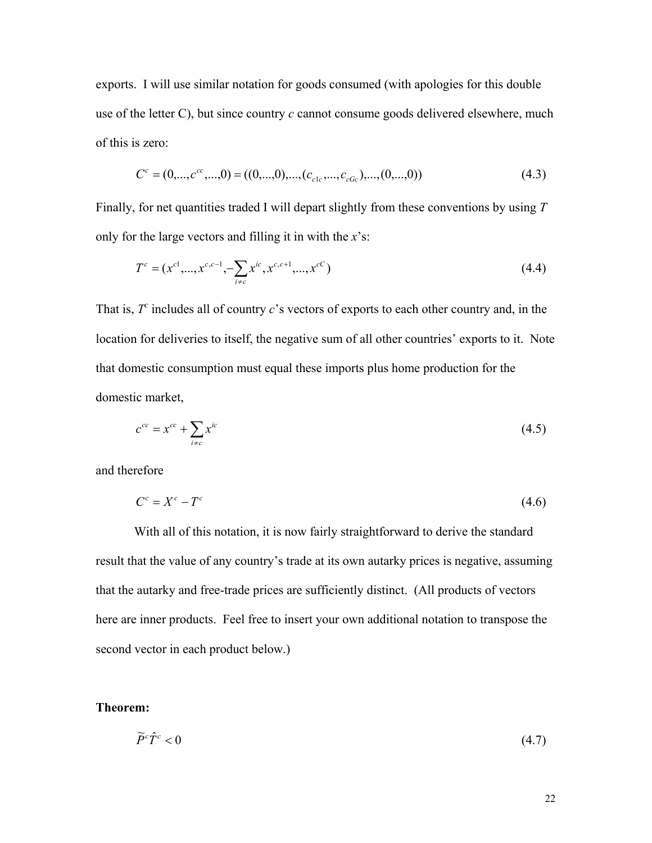exports. I will use similar notation for goods consumed (with apologies for this double use of the letter C), but since country *c* cannot consume goods delivered elsewhere, much of this is zero:

$$
C^{c} = (0,...,c^{cc},...,0) = ((0,...,0),..., (c_{clc},...,c_{c0c}),..., (0,...,0))
$$
\n(4.3)

Finally, for net quantities traded I will depart slightly from these conventions by using *T* only for the large vectors and filling it in with the *x*'s:

$$
T^{c} = (x^{c1},...,x^{c,c-1}, -\sum_{i \neq c} x^{ic}, x^{c,c+1},...,x^{cC})
$$
\n(4.4)

That is,  $T^c$  includes all of country  $c$ 's vectors of exports to each other country and, in the location for deliveries to itself, the negative sum of all other countries' exports to it. Note that domestic consumption must equal these imports plus home production for the domestic market,

$$
c^{cc} = x^{cc} + \sum_{i \neq c} x^{ic} \tag{4.5}
$$

and therefore

$$
C^c = X^c - T^c \tag{4.6}
$$

With all of this notation, it is now fairly straightforward to derive the standard result that the value of any country's trade at its own autarky prices is negative, assuming that the autarky and free-trade prices are sufficiently distinct. (All products of vectors here are inner products. Feel free to insert your own additional notation to transpose the second vector in each product below.)

#### **Theorem:**

$$
\tilde{P}^c \hat{T}^c < 0\tag{4.7}
$$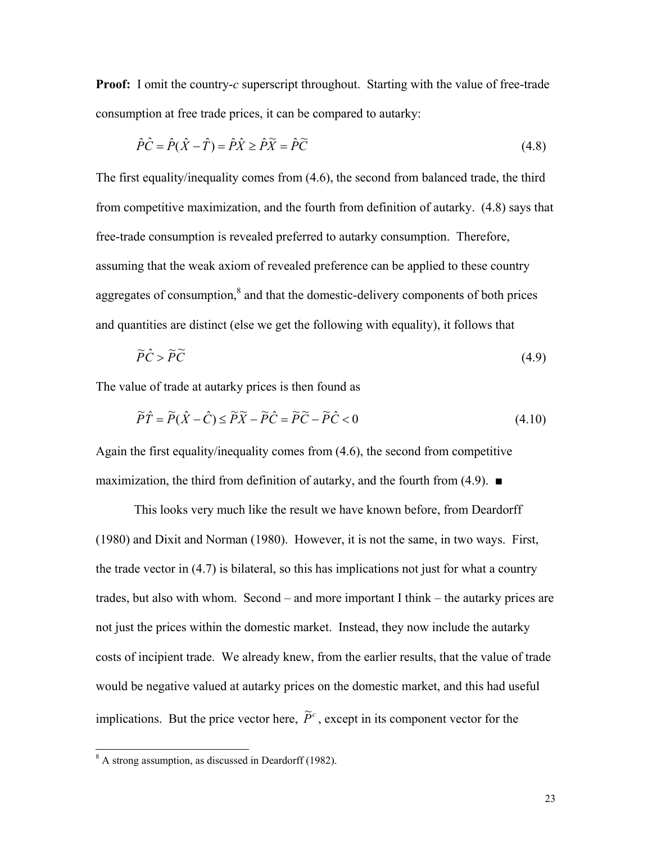**Proof:** I omit the country-*c* superscript throughout. Starting with the value of free-trade consumption at free trade prices, it can be compared to autarky:

$$
\hat{P}\hat{C} = \hat{P}(\hat{X} - \hat{T}) = \hat{P}\hat{X} \ge \hat{P}\tilde{X} = \hat{P}\tilde{C}
$$
\n(4.8)

The first equality/inequality comes from (4.6), the second from balanced trade, the third from competitive maximization, and the fourth from definition of autarky. (4.8) says that free-trade consumption is revealed preferred to autarky consumption. Therefore, assuming that the weak axiom of revealed preference can be applied to these country aggregates of consumption, $^8$  and that the domestic-delivery components of both prices and quantities are distinct (else we get the following with equality), it follows that

$$
\widetilde{P}\hat{C} > \widetilde{P}\widetilde{C} \tag{4.9}
$$

The value of trade at autarky prices is then found as

$$
\widetilde{P}\hat{T} = \widetilde{P}(\hat{X} - \hat{C}) \le \widetilde{P}\widetilde{X} - \widetilde{P}\hat{C} = \widetilde{P}\widetilde{C} - \widetilde{P}\hat{C} < 0 \tag{4.10}
$$

Again the first equality/inequality comes from (4.6), the second from competitive maximization, the third from definition of autarky, and the fourth from (4.9). ■

 This looks very much like the result we have known before, from Deardorff (1980) and Dixit and Norman (1980). However, it is not the same, in two ways. First, the trade vector in (4.7) is bilateral, so this has implications not just for what a country trades, but also with whom. Second – and more important I think – the autarky prices are not just the prices within the domestic market. Instead, they now include the autarky costs of incipient trade. We already knew, from the earlier results, that the value of trade would be negative valued at autarky prices on the domestic market, and this had useful implications. But the price vector here,  $\tilde{P}^c$ , except in its component vector for the

<sup>&</sup>lt;sup>8</sup> A strong assumption, as discussed in Deardorff (1982).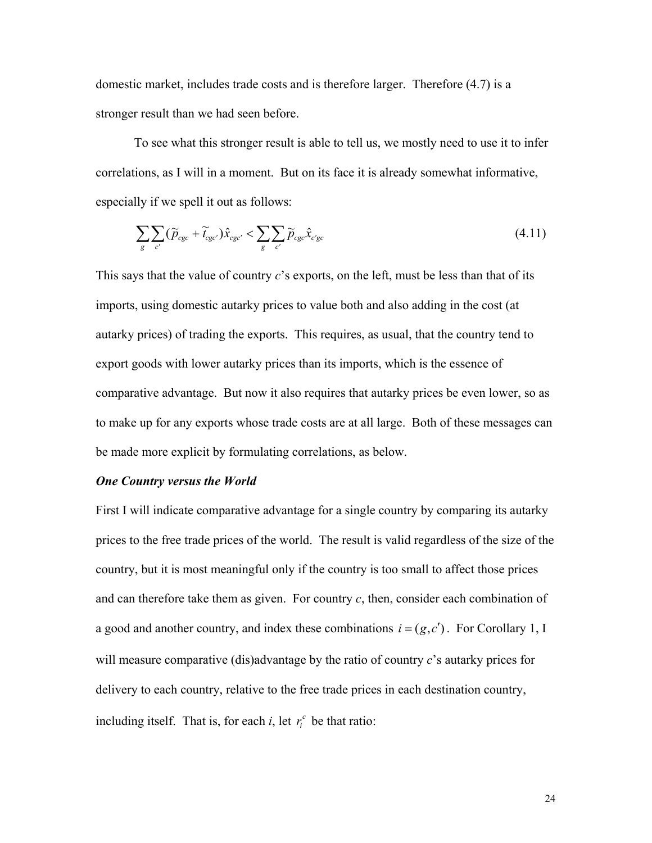domestic market, includes trade costs and is therefore larger. Therefore (4.7) is a stronger result than we had seen before.

To see what this stronger result is able to tell us, we mostly need to use it to infer correlations, as I will in a moment. But on its face it is already somewhat informative, especially if we spell it out as follows:

$$
\sum_{g} \sum_{c'} (\widetilde{p}_{cgc} + \widetilde{t}_{cgc'}) \hat{x}_{cgc'} < \sum_{g} \sum_{c'} \widetilde{p}_{cgc} \hat{x}_{c'gc} \tag{4.11}
$$

This says that the value of country *c*'s exports, on the left, must be less than that of its imports, using domestic autarky prices to value both and also adding in the cost (at autarky prices) of trading the exports. This requires, as usual, that the country tend to export goods with lower autarky prices than its imports, which is the essence of comparative advantage. But now it also requires that autarky prices be even lower, so as to make up for any exports whose trade costs are at all large. Both of these messages can be made more explicit by formulating correlations, as below.

#### *One Country versus the World*

First I will indicate comparative advantage for a single country by comparing its autarky prices to the free trade prices of the world. The result is valid regardless of the size of the country, but it is most meaningful only if the country is too small to affect those prices and can therefore take them as given. For country *c*, then, consider each combination of a good and another country, and index these combinations  $i = (g, c')$ . For Corollary 1, I will measure comparative (dis)advantage by the ratio of country *c*'s autarky prices for delivery to each country, relative to the free trade prices in each destination country, including itself. That is, for each *i*, let  $r_i^c$  be that ratio: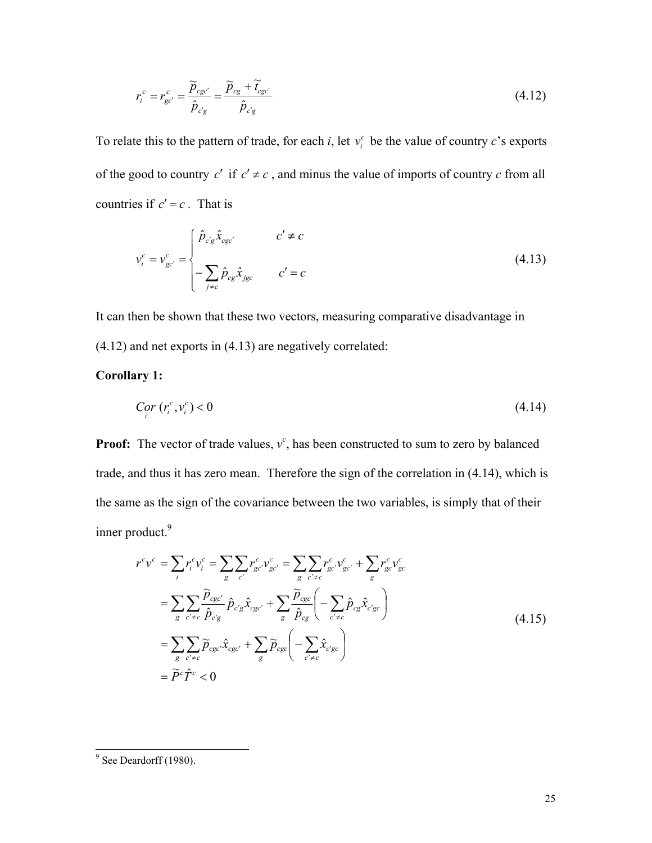$$
r_i^c = r_{gc'}^c = \frac{\widetilde{p}_{cgc'}}{\hat{p}_{c's}} = \frac{\widetilde{p}_{cg} + \widetilde{t}_{cgc'}}{\hat{p}_{c's}}
$$
(4.12)

To relate this to the pattern of trade, for each *i*, let  $v_i^c$  be the value of country *c*'s exports of the good to country  $c'$  if  $c' \neq c$ , and minus the value of imports of country  $c$  from all countries if  $c' = c$ . That is

$$
v_i^c = v_{gc'}^c = \begin{cases} \hat{p}_{c's}\hat{x}_{cgc'} & c' \neq c \\ -\sum_{j \neq c} \hat{p}_{cg}\hat{x}_{jgc} & c' = c \end{cases}
$$
\n(4.13)

It can then be shown that these two vectors, measuring comparative disadvantage in (4.12) and net exports in (4.13) are negatively correlated:

# **Corollary 1:**

$$
Cor\left(r_i^c, v_i^c\right) < 0\tag{4.14}
$$

**Proof:** The vector of trade values,  $v^c$ , has been constructed to sum to zero by balanced trade, and thus it has zero mean. Therefore the sign of the correlation in (4.14), which is the same as the sign of the covariance between the two variables, is simply that of their inner product.<sup>9</sup>

$$
r^{c}v^{c} = \sum_{i} r_{i}^{c}v_{i}^{c} = \sum_{g} \sum_{c'} r_{gc'}^{c}v_{gc'}^{c} = \sum_{g} \sum_{c' \neq c} r_{gc}^{c}v_{gc'}^{c} + \sum_{g} r_{gc}^{c}v_{gc}^{c}
$$

$$
= \sum_{g} \sum_{c' \neq c} \frac{\tilde{p}_{cgc'}}{\hat{p}_{c'g}} \hat{p}_{c'g} \hat{x}_{cgc'} + \sum_{g} \frac{\tilde{p}_{cgc}}{\hat{p}_{cg}} \left( -\sum_{c' \neq c} \hat{p}_{cg} \hat{x}_{c'gc} \right)
$$

$$
= \sum_{g} \sum_{c' \neq c} \tilde{p}_{cgc} \hat{x}_{cgc'} + \sum_{g} \tilde{p}_{cgc} \left( -\sum_{c' \neq c} \hat{x}_{c'gc} \right)
$$

$$
= \tilde{P}^{c}\hat{T}^{c} < 0
$$
(4.15)

<sup>&</sup>lt;sup>9</sup> See Deardorff (1980).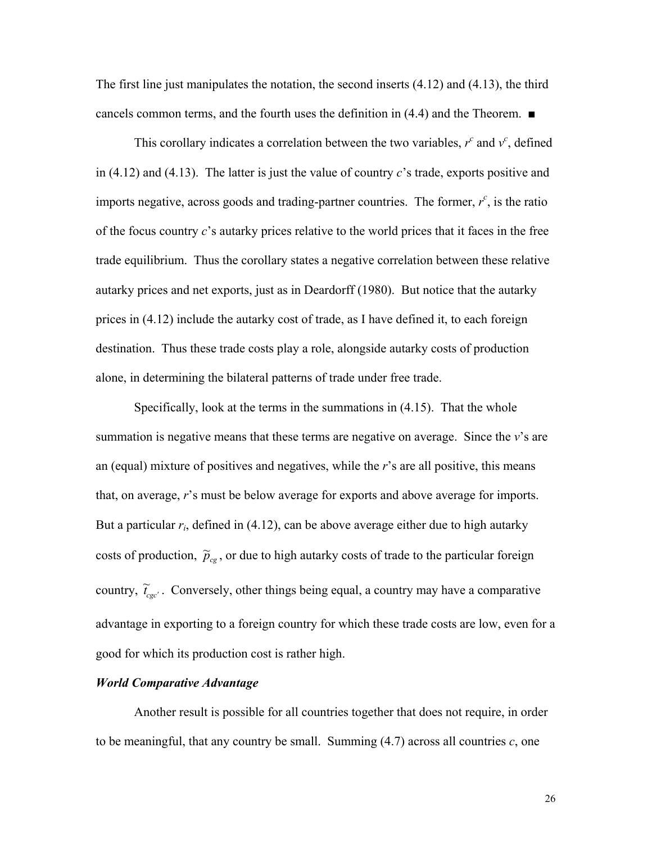The first line just manipulates the notation, the second inserts (4.12) and (4.13), the third cancels common terms, and the fourth uses the definition in (4.4) and the Theorem. ■

This corollary indicates a correlation between the two variables,  $r^c$  and  $v^c$ , defined in (4.12) and (4.13). The latter is just the value of country *c*'s trade, exports positive and imports negative, across goods and trading-partner countries. The former,  $r^c$ , is the ratio of the focus country *c*'s autarky prices relative to the world prices that it faces in the free trade equilibrium. Thus the corollary states a negative correlation between these relative autarky prices and net exports, just as in Deardorff (1980). But notice that the autarky prices in (4.12) include the autarky cost of trade, as I have defined it, to each foreign destination. Thus these trade costs play a role, alongside autarky costs of production alone, in determining the bilateral patterns of trade under free trade.

Specifically, look at the terms in the summations in (4.15). That the whole summation is negative means that these terms are negative on average. Since the *v*'s are an (equal) mixture of positives and negatives, while the *r*'s are all positive, this means that, on average, *r*'s must be below average for exports and above average for imports. But a particular  $r_i$ , defined in  $(4.12)$ , can be above average either due to high autarky costs of production,  $\tilde{p}_{cg}$ , or due to high autarky costs of trade to the particular foreign country,  $\tilde{t}_{\text{cgc'}}$ . Conversely, other things being equal, a country may have a comparative advantage in exporting to a foreign country for which these trade costs are low, even for a good for which its production cost is rather high.

# *World Comparative Advantage*

Another result is possible for all countries together that does not require, in order to be meaningful, that any country be small. Summing  $(4.7)$  across all countries  $c$ , one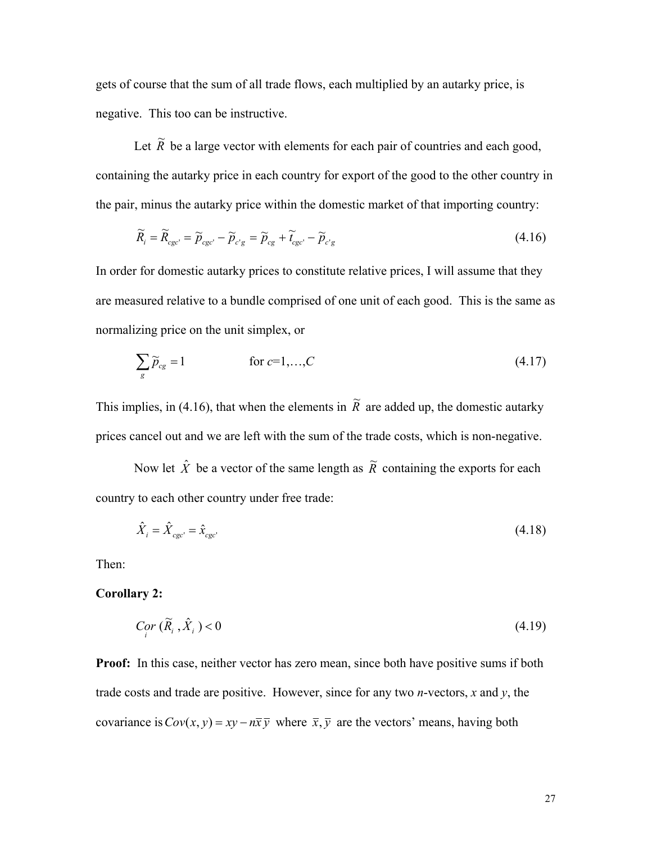gets of course that the sum of all trade flows, each multiplied by an autarky price, is negative. This too can be instructive.

Let  $\widetilde{R}$  be a large vector with elements for each pair of countries and each good, containing the autarky price in each country for export of the good to the other country in the pair, minus the autarky price within the domestic market of that importing country:

$$
\widetilde{R}_{i} = \widetilde{R}_{cgc'} = \widetilde{p}_{cgc'} - \widetilde{p}_{c'g} = \widetilde{p}_{cg} + \widetilde{t}_{cgc'} - \widetilde{p}_{c'g}
$$
\n(4.16)

In order for domestic autarky prices to constitute relative prices, I will assume that they are measured relative to a bundle comprised of one unit of each good. This is the same as normalizing price on the unit simplex, or

$$
\sum_{g} \widetilde{p}_{cg} = 1 \qquad \text{for } c = 1, \dots, C \tag{4.17}
$$

This implies, in (4.16), that when the elements in  $\widetilde{R}$  are added up, the domestic autarky prices cancel out and we are left with the sum of the trade costs, which is non-negative.

Now let  $\hat{X}$  be a vector of the same length as  $\tilde{R}$  containing the exports for each country to each other country under free trade:

$$
\hat{X}_i = \hat{X}_{cgc} = \hat{x}_{cgc'} \tag{4.18}
$$

Then:

# **Corollary 2:**

$$
Cor\left(\widetilde{R}_i, \hat{X}_i\right) < 0\tag{4.19}
$$

Proof: In this case, neither vector has zero mean, since both have positive sums if both trade costs and trade are positive. However, since for any two *n*-vectors, *x* and *y*, the covariance is  $Cov(x, y) = xy - n\overline{x} \overline{y}$  where  $\overline{x}, \overline{y}$  are the vectors' means, having both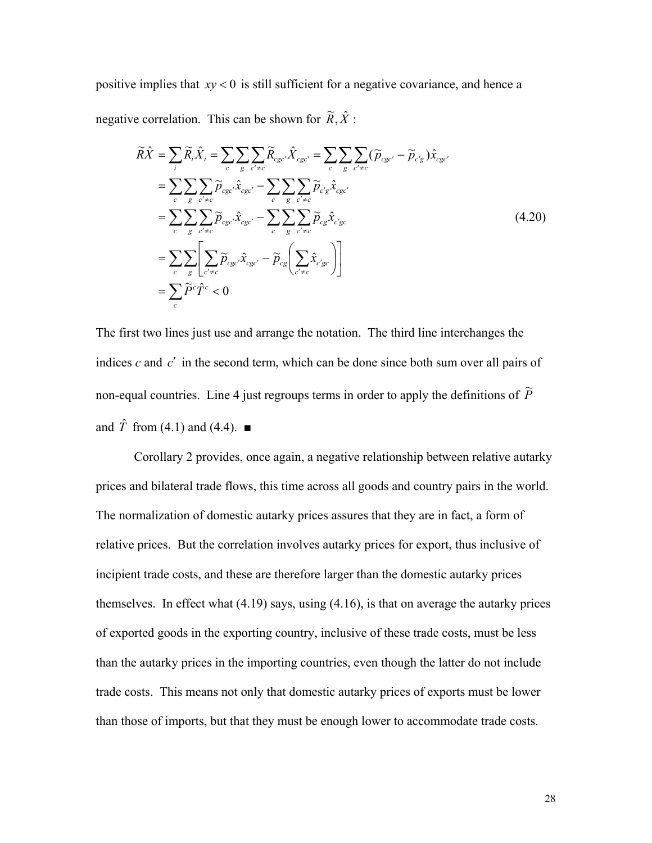positive implies that  $xy < 0$  is still sufficient for a negative covariance, and hence a negative correlation. This can be shown for  $\widetilde{R}, \widetilde{X}$ :

$$
\widetilde{R}\hat{X} = \sum_{i} \widetilde{R}_{i} \hat{X}_{i} = \sum_{c} \sum_{g} \sum_{c' \neq c} \widetilde{R}_{cgc'} \hat{X}_{cgc'} = \sum_{c} \sum_{g} \sum_{c' \neq c} (\widetilde{p}_{cgc'} - \widetilde{p}_{c'g}) \hat{x}_{cgc'} \n= \sum_{c} \sum_{g} \sum_{c' \neq c} \widetilde{p}_{cgc'} \hat{x}_{cgc'} - \sum_{c} \sum_{g} \sum_{c' \neq c} \widetilde{p}_{c'g} \hat{x}_{cgc'} \n= \sum_{c} \sum_{g} \sum_{c' \neq c} \widetilde{p}_{cgc'} \hat{x}_{cgc'} - \sum_{c} \sum_{g} \sum_{c' \neq c} \widetilde{p}_{cg} \hat{x}_{c'gc} \n= \sum_{c} \sum_{g} \sum_{c' \neq c} \widetilde{p}_{cgc'} \hat{x}_{cgc'} - \widetilde{p}_{cg} \left( \sum_{c' \neq c} \hat{x}_{c'gc} \right) \n= \sum_{c} \widetilde{P}^{c} \hat{T}^{c} < 0
$$
\n(4.20)

The first two lines just use and arrange the notation. The third line interchanges the indices *c* and *c*′ in the second term, which can be done since both sum over all pairs of non-equal countries. Line 4 just regroups terms in order to apply the definitions of  $\widetilde{P}$ and  $\hat{T}$  from (4.1) and (4.4).  $\blacksquare$ 

 Corollary 2 provides, once again, a negative relationship between relative autarky prices and bilateral trade flows, this time across all goods and country pairs in the world. The normalization of domestic autarky prices assures that they are in fact, a form of relative prices. But the correlation involves autarky prices for export, thus inclusive of incipient trade costs, and these are therefore larger than the domestic autarky prices themselves. In effect what (4.19) says, using (4.16), is that on average the autarky prices of exported goods in the exporting country, inclusive of these trade costs, must be less than the autarky prices in the importing countries, even though the latter do not include trade costs. This means not only that domestic autarky prices of exports must be lower than those of imports, but that they must be enough lower to accommodate trade costs.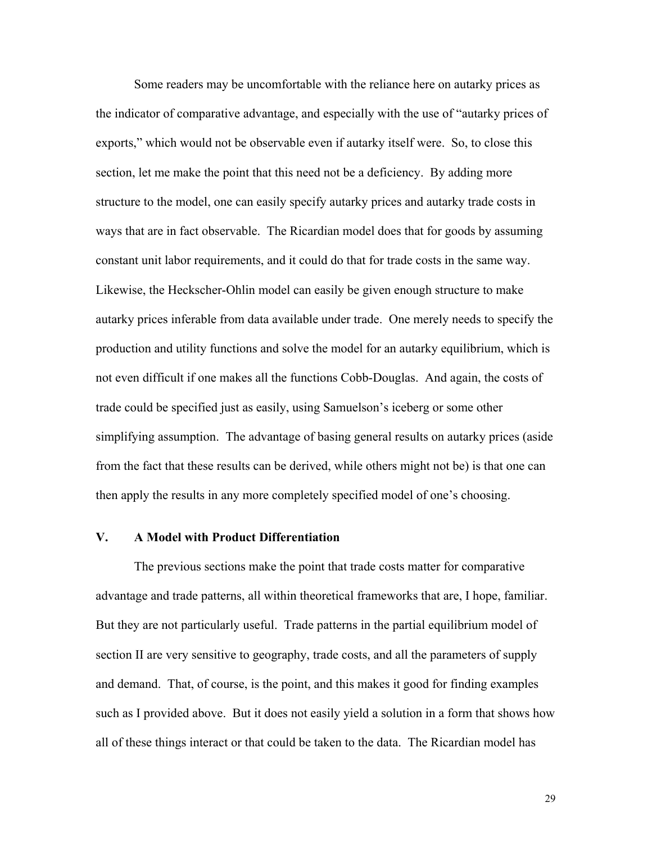Some readers may be uncomfortable with the reliance here on autarky prices as the indicator of comparative advantage, and especially with the use of "autarky prices of exports," which would not be observable even if autarky itself were. So, to close this section, let me make the point that this need not be a deficiency. By adding more structure to the model, one can easily specify autarky prices and autarky trade costs in ways that are in fact observable. The Ricardian model does that for goods by assuming constant unit labor requirements, and it could do that for trade costs in the same way. Likewise, the Heckscher-Ohlin model can easily be given enough structure to make autarky prices inferable from data available under trade. One merely needs to specify the production and utility functions and solve the model for an autarky equilibrium, which is not even difficult if one makes all the functions Cobb-Douglas. And again, the costs of trade could be specified just as easily, using Samuelson's iceberg or some other simplifying assumption. The advantage of basing general results on autarky prices (aside from the fact that these results can be derived, while others might not be) is that one can then apply the results in any more completely specified model of one's choosing.

# **V. A Model with Product Differentiation**

The previous sections make the point that trade costs matter for comparative advantage and trade patterns, all within theoretical frameworks that are, I hope, familiar. But they are not particularly useful. Trade patterns in the partial equilibrium model of section II are very sensitive to geography, trade costs, and all the parameters of supply and demand. That, of course, is the point, and this makes it good for finding examples such as I provided above. But it does not easily yield a solution in a form that shows how all of these things interact or that could be taken to the data. The Ricardian model has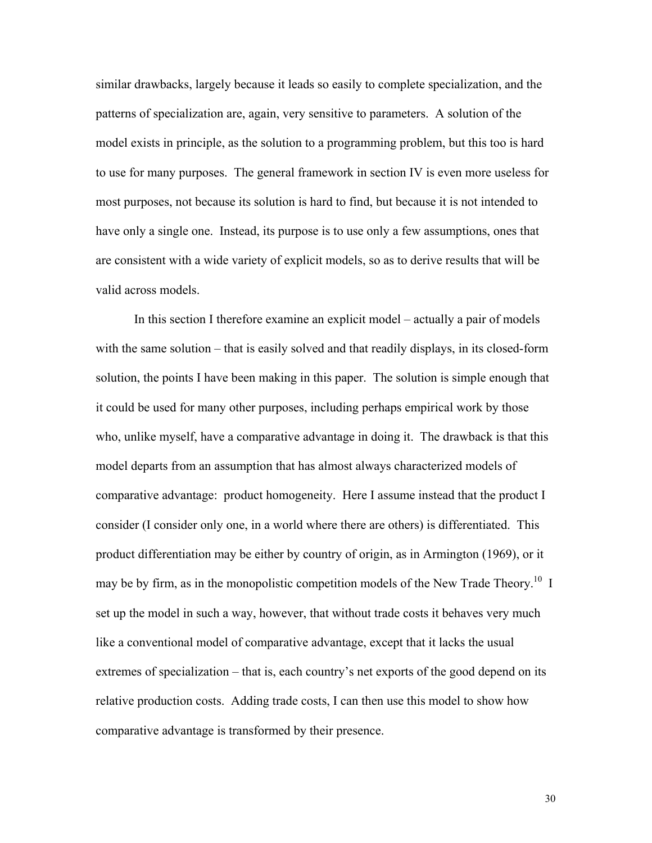similar drawbacks, largely because it leads so easily to complete specialization, and the patterns of specialization are, again, very sensitive to parameters. A solution of the model exists in principle, as the solution to a programming problem, but this too is hard to use for many purposes. The general framework in section IV is even more useless for most purposes, not because its solution is hard to find, but because it is not intended to have only a single one. Instead, its purpose is to use only a few assumptions, ones that are consistent with a wide variety of explicit models, so as to derive results that will be valid across models.

 In this section I therefore examine an explicit model – actually a pair of models with the same solution – that is easily solved and that readily displays, in its closed-form solution, the points I have been making in this paper. The solution is simple enough that it could be used for many other purposes, including perhaps empirical work by those who, unlike myself, have a comparative advantage in doing it. The drawback is that this model departs from an assumption that has almost always characterized models of comparative advantage: product homogeneity. Here I assume instead that the product I consider (I consider only one, in a world where there are others) is differentiated. This product differentiation may be either by country of origin, as in Armington (1969), or it may be by firm, as in the monopolistic competition models of the New Trade Theory.<sup>10</sup> I set up the model in such a way, however, that without trade costs it behaves very much like a conventional model of comparative advantage, except that it lacks the usual extremes of specialization – that is, each country's net exports of the good depend on its relative production costs. Adding trade costs, I can then use this model to show how comparative advantage is transformed by their presence.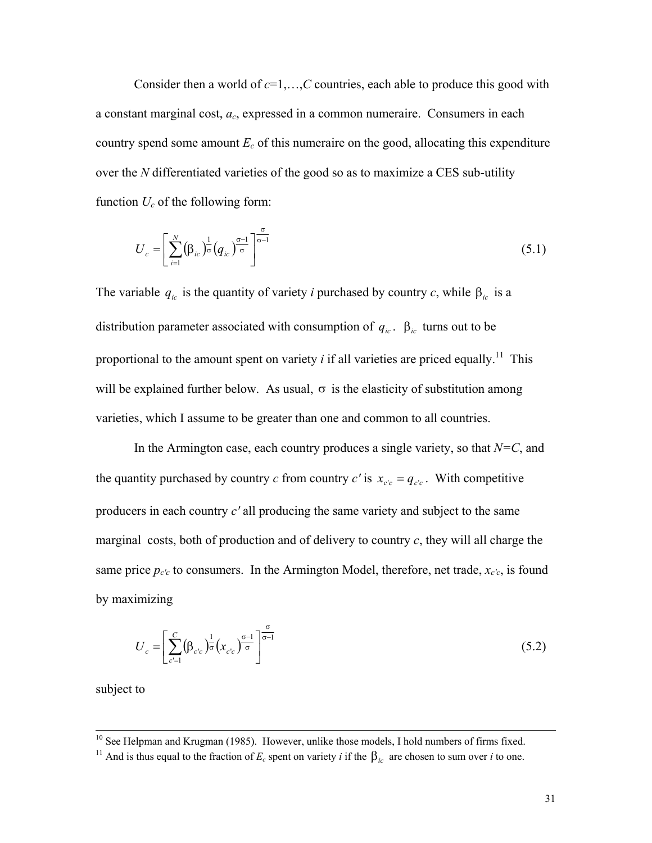Consider then a world of  $c=1,\ldots,C$  countries, each able to produce this good with a constant marginal cost, *ac*, expressed in a common numeraire. Consumers in each country spend some amount  $E_c$  of this numeraire on the good, allocating this expenditure over the *N* differentiated varieties of the good so as to maximize a CES sub-utility function  $U_c$  of the following form:

$$
U_c = \left[\sum_{i=1}^{N} \left(\beta_{ic}\right)^{\frac{1}{\sigma}} \left(q_{ic}\right)^{\frac{\sigma-1}{\sigma}}\right]^{\frac{\sigma}{\sigma-1}}
$$
\n(5.1)

The variable  $q_{ic}$  is the quantity of variety *i* purchased by country *c*, while  $\beta_{ic}$  is a distribution parameter associated with consumption of  $q_{ic}$ .  $\beta_{ic}$  turns out to be proportional to the amount spent on variety  $i$  if all varieties are priced equally.<sup>11</sup> This will be explained further below. As usual,  $\sigma$  is the elasticity of substitution among varieties, which I assume to be greater than one and common to all countries.

 In the Armington case, each country produces a single variety, so that *N=C*, and the quantity purchased by country *c* from country *c'* is  $x_c = q_c$ . With competitive producers in each country *c'* all producing the same variety and subject to the same marginal costs, both of production and of delivery to country *c*, they will all charge the same price  $p_{c'c}$  to consumers. In the Armington Model, therefore, net trade,  $x_{c'c}$ , is found by maximizing

$$
U_c = \left[ \sum_{c'=1}^{C} (\beta_{c'c})^{\frac{1}{\sigma}} (x_{c'c})^{\frac{\sigma-1}{\sigma}} \right]^{\frac{\sigma}{\sigma-1}}
$$
(5.2)

subject to

<sup>&</sup>lt;sup>10</sup> See Helpman and Krugman (1985). However, unlike those models, I hold numbers of firms fixed.

<sup>&</sup>lt;sup>11</sup> And is thus equal to the fraction of  $E_c$  spent on variety *i* if the  $\beta_{ic}$  are chosen to sum over *i* to one.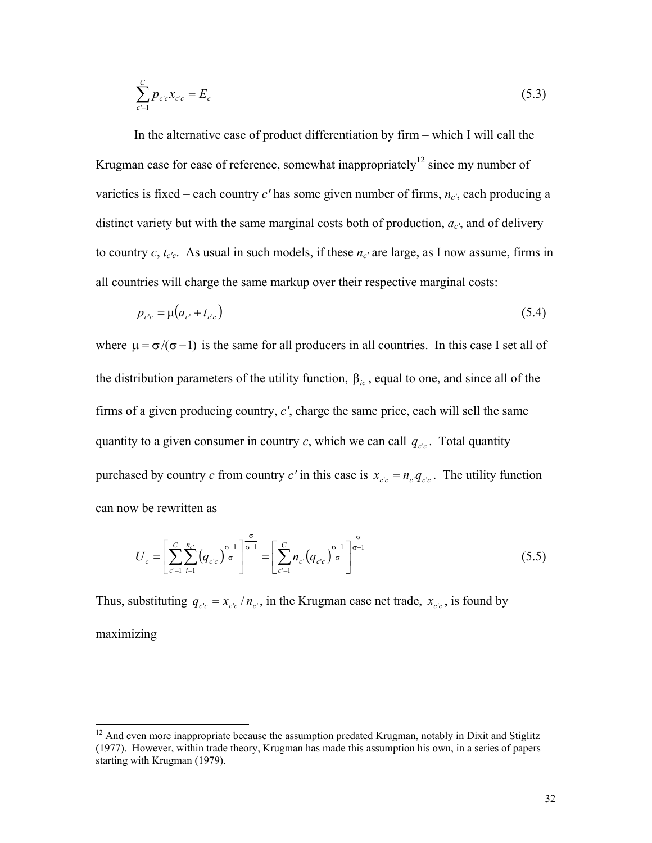$$
\sum_{c'=1}^{C} p_{c'c} x_{c'c} = E_c \tag{5.3}
$$

 In the alternative case of product differentiation by firm – which I will call the Krugman case for ease of reference, somewhat inappropriately<sup>12</sup> since my number of varieties is fixed – each country  $c'$  has some given number of firms,  $n_c$ , each producing a distinct variety but with the same marginal costs both of production, *ac'*, and of delivery to country *c*, *tc'c*. As usual in such models, if these *nc'* are large, as I now assume, firms in all countries will charge the same markup over their respective marginal costs:

$$
p_{c'c} = \mu(a_{c'} + t_{c'c})
$$
\n(5.4)

where  $\mu = \sigma/(\sigma - 1)$  is the same for all producers in all countries. In this case I set all of the distribution parameters of the utility function,  $\beta_{ic}$ , equal to one, and since all of the firms of a given producing country, *c'*, charge the same price, each will sell the same quantity to a given consumer in country *c*, which we can call  $q_{c,c}$ . Total quantity purchased by country *c* from country *c'* in this case is  $x_{c} = n_c q_{c}$ . The utility function can now be rewritten as

$$
U_c = \left[ \sum_{c'=1}^{C} \sum_{i=1}^{n_{c'}} \left( q_{c'c} \right)^{\frac{\sigma-1}{\sigma}} \right]^{\frac{\sigma}{\sigma-1}} = \left[ \sum_{c'=1}^{C} n_{c'} \left( q_{c'c} \right)^{\frac{\sigma-1}{\sigma}} \right]^{\frac{\sigma}{\sigma-1}}
$$
(5.5)

Thus, substituting  $q_{c'c} = x_{c'c} / n_{c'}$ , in the Krugman case net trade,  $x_{c'c}$ , is found by maximizing

l

 $12$  And even more inappropriate because the assumption predated Krugman, notably in Dixit and Stiglitz (1977). However, within trade theory, Krugman has made this assumption his own, in a series of papers starting with Krugman (1979).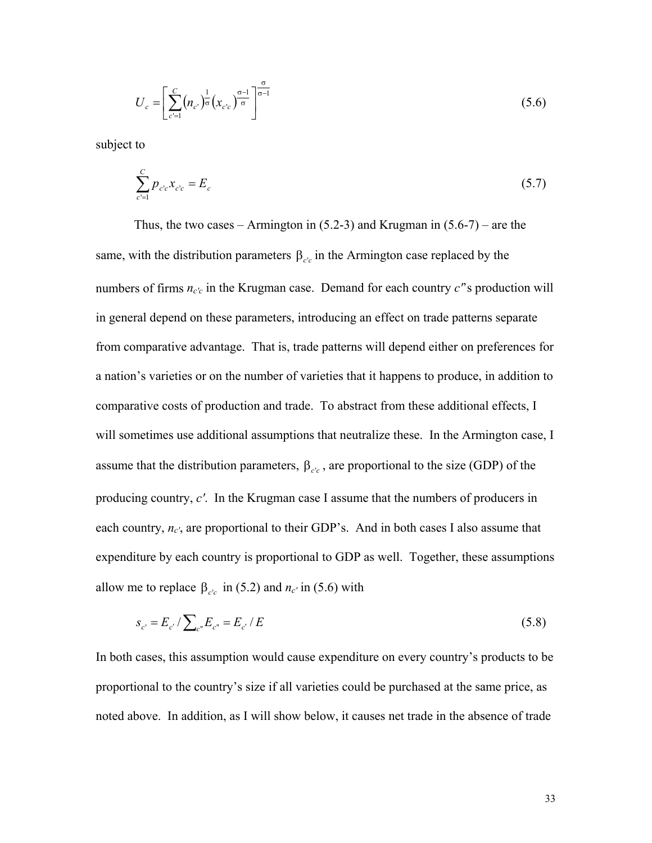$$
U_c = \left[\sum_{c'=1}^{C} \left(n_c\right)^{\frac{1}{\sigma}} \left(x_{c'c}\right)^{\frac{\sigma-1}{\sigma}}\right]^{\frac{\sigma}{\sigma-1}}
$$
\n
$$
(5.6)
$$

subject to

$$
\sum_{c'=1}^{C} p_{c'c} x_{c'c} = E_c \tag{5.7}
$$

Thus, the two cases – Armington in  $(5.2-3)$  and Krugman in  $(5.6-7)$  – are the same, with the distribution parameters  $\beta_{c\,c}$  in the Armington case replaced by the numbers of firms *nc'c* in the Krugman case. Demand for each country *c'*'s production will in general depend on these parameters, introducing an effect on trade patterns separate from comparative advantage. That is, trade patterns will depend either on preferences for a nation's varieties or on the number of varieties that it happens to produce, in addition to comparative costs of production and trade. To abstract from these additional effects, I will sometimes use additional assumptions that neutralize these. In the Armington case, I assume that the distribution parameters,  $\beta_{c'c}$ , are proportional to the size (GDP) of the producing country, *c'*. In the Krugman case I assume that the numbers of producers in each country, *nc'*, are proportional to their GDP's. And in both cases I also assume that expenditure by each country is proportional to GDP as well. Together, these assumptions allow me to replace  $\beta_{c'c}$  in (5.2) and  $n_{c'}$  in (5.6) with

$$
s_{c'} = E_{c'}/\sum_{c''} E_{c''} = E_{c'}/E
$$
\n(5.8)

In both cases, this assumption would cause expenditure on every country's products to be proportional to the country's size if all varieties could be purchased at the same price, as noted above. In addition, as I will show below, it causes net trade in the absence of trade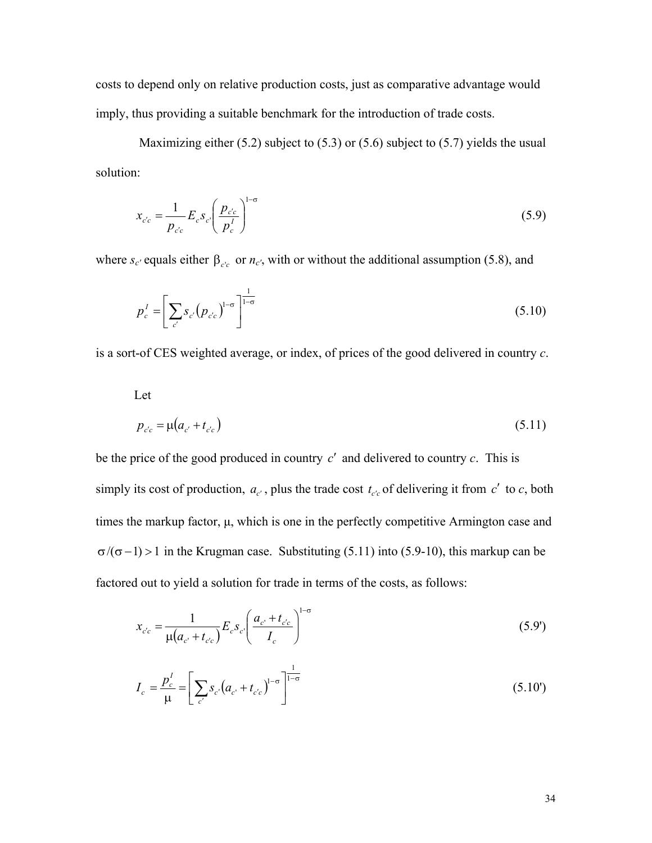costs to depend only on relative production costs, just as comparative advantage would imply, thus providing a suitable benchmark for the introduction of trade costs.

Maximizing either  $(5.2)$  subject to  $(5.3)$  or  $(5.6)$  subject to  $(5.7)$  yields the usual solution:

$$
x_{c'c} = \frac{1}{p_{c'c}} E_c s_{c'} \left(\frac{p_{c'c}}{p_c^l}\right)^{1-\sigma}
$$
 (5.9)

where  $s_c$ <sup>*c*</sup> equals either  $\beta_c$ <sup>*c*</sup> or  $n_c$ <sup>*c*</sup>, with or without the additional assumption (5.8), and

$$
p_c^I = \left[ \sum_{c'} s_{c'} (p_{c'c})^{1-\sigma} \right]^{1-\sigma}
$$
 (5.10)

is a sort-of CES weighted average, or index, of prices of the good delivered in country *c*.

Let

$$
p_{c'c} = \mu(a_{c'} + t_{c'c})
$$
\n(5.11)

be the price of the good produced in country *c*′ and delivered to country *c*. This is simply its cost of production,  $a_{c'}$ , plus the trade cost  $t_{c'c}$  of delivering it from  $c'$  to  $c$ , both times the markup factor, µ, which is one in the perfectly competitive Armington case and  $\sigma/(\sigma-1)$  > 1 in the Krugman case. Substituting (5.11) into (5.9-10), this markup can be factored out to yield a solution for trade in terms of the costs, as follows:

$$
x_{c'c} = \frac{1}{\mu(a_{c'} + t_{c'c})} E_c s_{c'} \left(\frac{a_{c'} + t_{c'c}}{I_c}\right)^{1-\sigma}
$$
(5.9')

$$
I_c = \frac{p_c^l}{\mu} = \left[ \sum_{c'} s_{c'} (a_{c'} + t_{c'c})^{1-\sigma} \right]^{\frac{1}{1-\sigma}}
$$
(5.10')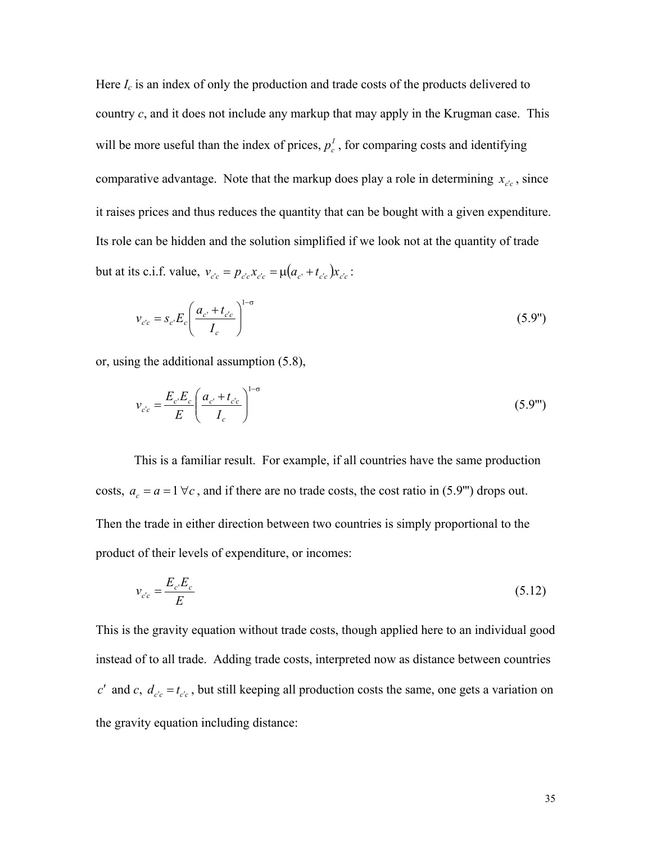Here  $I_c$  is an index of only the production and trade costs of the products delivered to country *c*, and it does not include any markup that may apply in the Krugman case. This will be more useful than the index of prices,  $p_c^I$ , for comparing costs and identifying comparative advantage. Note that the markup does play a role in determining  $x_{c}$ , since it raises prices and thus reduces the quantity that can be bought with a given expenditure. Its role can be hidden and the solution simplified if we look not at the quantity of trade but at its c.i.f. value,  $v_{c'c} = p_{c'c} x_{c'c} = \mu (a_{c'} + t_{c'c}) x_{c'c}$ .

$$
v_{c'c} = s_c E_c \left(\frac{a_{c'} + t_{c'c}}{I_c}\right)^{1-\sigma}
$$
 (5.9")

or, using the additional assumption (5.8),

$$
v_{c'c} = \frac{E_{c'}E_c}{E} \left(\frac{a_{c'} + t_{c'c}}{I_c}\right)^{1-\sigma}
$$
(5.9")

 This is a familiar result. For example, if all countries have the same production costs,  $a_c = a = 1 \,\forall c$ , and if there are no trade costs, the cost ratio in (5.9"') drops out. Then the trade in either direction between two countries is simply proportional to the product of their levels of expenditure, or incomes:

$$
v_{c'c} = \frac{E_{c'}E_c}{E}
$$
\n
$$
(5.12)
$$

This is the gravity equation without trade costs, though applied here to an individual good instead of to all trade. Adding trade costs, interpreted now as distance between countries *c*' and *c*,  $d_{c} = t_{c}$ , but still keeping all production costs the same, one gets a variation on the gravity equation including distance: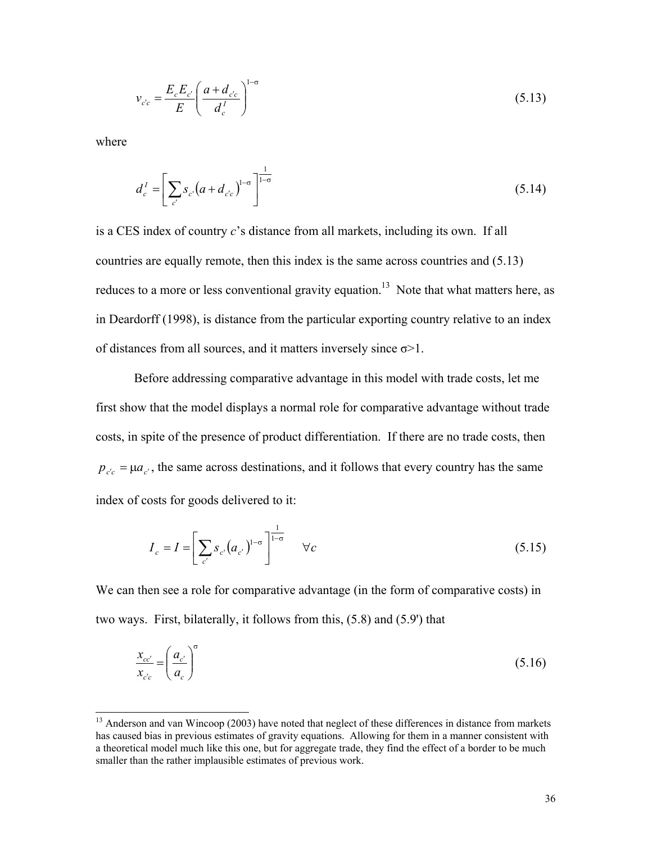$$
v_{c'c} = \frac{E_c E_{c'}}{E} \left( \frac{a + d_{c'c}}{d_c^T} \right)^{1-\sigma}
$$
 (5.13)

where

 $\overline{\phantom{a}}$ 

$$
d_c^I = \left[ \sum_{c'} s_{c'} (a + d_{c'c})^{1-\sigma} \right]^{\frac{1}{1-\sigma}}
$$
(5.14)

is a CES index of country *c*'s distance from all markets, including its own. If all countries are equally remote, then this index is the same across countries and (5.13) reduces to a more or less conventional gravity equation.<sup>13</sup> Note that what matters here, as in Deardorff (1998), is distance from the particular exporting country relative to an index of distances from all sources, and it matters inversely since  $\sigma$ >1.

 Before addressing comparative advantage in this model with trade costs, let me first show that the model displays a normal role for comparative advantage without trade costs, in spite of the presence of product differentiation. If there are no trade costs, then  $p_{c/c} = \mu a_{c'}$ , the same across destinations, and it follows that every country has the same index of costs for goods delivered to it:

$$
I_c = I = \left[ \sum_{c'} s_{c'} (a_{c'})^{1-\sigma} \right]^{1-\sigma} \quad \forall c
$$
 (5.15)

We can then see a role for comparative advantage (in the form of comparative costs) in two ways. First, bilaterally, it follows from this, (5.8) and (5.9') that

$$
\frac{x_{cc'}}{x_{c'c}} = \left(\frac{a_{c'}}{a_c}\right)^{\sigma} \tag{5.16}
$$

<sup>&</sup>lt;sup>13</sup> Anderson and van Wincoop (2003) have noted that neglect of these differences in distance from markets has caused bias in previous estimates of gravity equations. Allowing for them in a manner consistent with a theoretical model much like this one, but for aggregate trade, they find the effect of a border to be much smaller than the rather implausible estimates of previous work.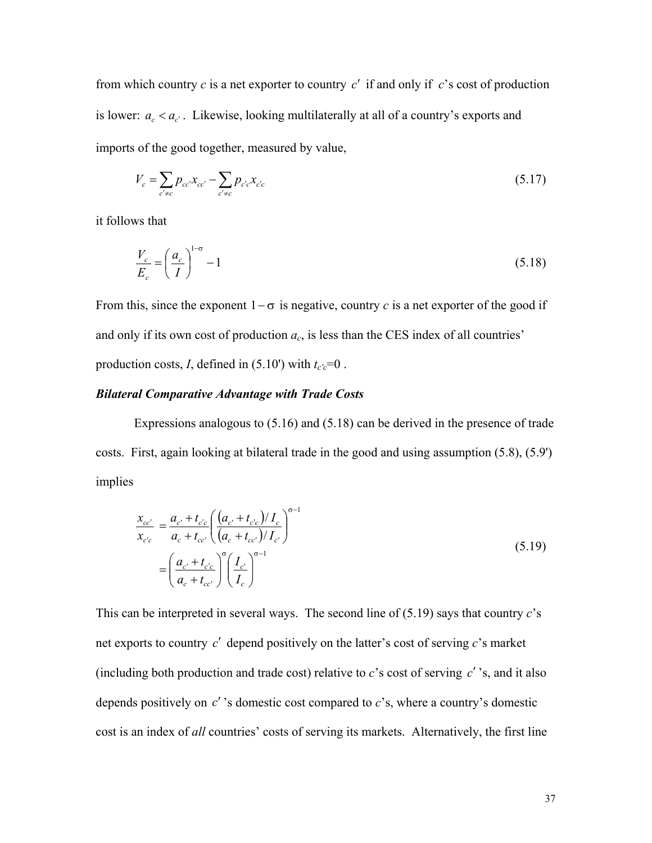from which country *c* is a net exporter to country *c*′ if and only if *c*'s cost of production is lower:  $a_c < a_c$ . Likewise, looking multilaterally at all of a country's exports and imports of the good together, measured by value,

$$
V_c = \sum_{c' \neq c} p_{cc'} x_{cc'} - \sum_{c' \neq c} p_{c'c} x_{c'c}
$$
 (5.17)

it follows that

$$
\frac{V_c}{E_c} = \left(\frac{a_c}{I}\right)^{1-\sigma} - 1\tag{5.18}
$$

From this, since the exponent  $1-\sigma$  is negative, country *c* is a net exporter of the good if and only if its own cost of production  $a_c$ , is less than the CES index of all countries' production costs, *I*, defined in (5.10') with  $t_{c'c}$ =0.

# *Bilateral Comparative Advantage with Trade Costs*

 Expressions analogous to (5.16) and (5.18) can be derived in the presence of trade costs. First, again looking at bilateral trade in the good and using assumption (5.8), (5.9') implies

$$
\frac{x_{cc'}}{x_{c'c}} = \frac{a_{c'} + t_{c'c}}{a_c + t_{cc'}} \left( \frac{(a_{c'} + t_{c'c})/I_c}{(a_c + t_{cc'})/I_c} \right)^{\sigma-1}
$$
\n
$$
= \left( \frac{a_{c'} + t_{c'c}}{a_c + t_{cc'}} \right)^{\sigma} \left( \frac{I_{c'}}{I_c} \right)^{\sigma-1}
$$
\n(5.19)

This can be interpreted in several ways. The second line of (5.19) says that country *c*'s net exports to country *c*′ depend positively on the latter's cost of serving *c*'s market (including both production and trade cost) relative to *c*'s cost of serving *c*′ 's, and it also depends positively on *c*′ 's domestic cost compared to *c*'s, where a country's domestic cost is an index of *all* countries' costs of serving its markets. Alternatively, the first line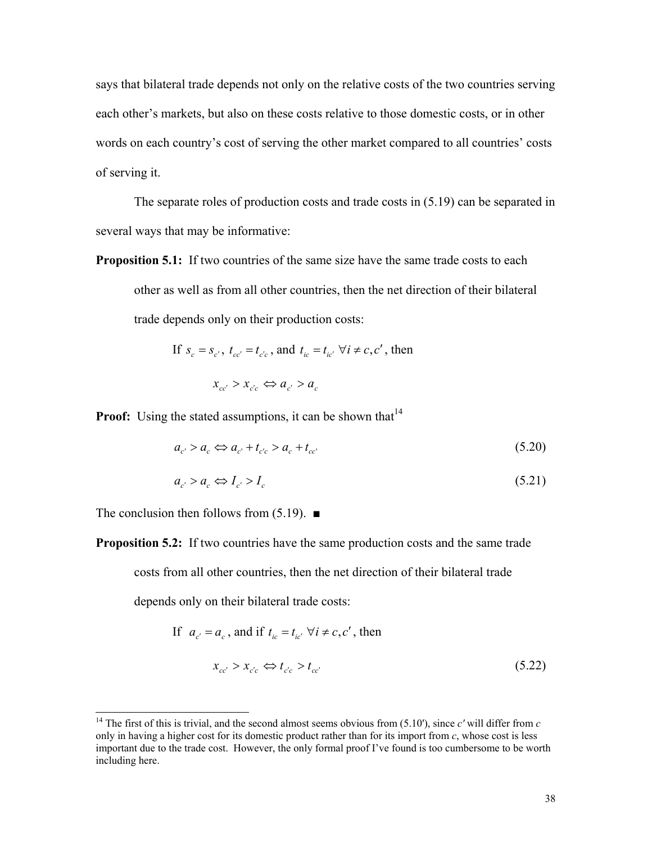says that bilateral trade depends not only on the relative costs of the two countries serving each other's markets, but also on these costs relative to those domestic costs, or in other words on each country's cost of serving the other market compared to all countries' costs of serving it.

 The separate roles of production costs and trade costs in (5.19) can be separated in several ways that may be informative:

**Proposition 5.1:** If two countries of the same size have the same trade costs to each other as well as from all other countries, then the net direction of their bilateral trade depends only on their production costs:

If 
$$
s_c = s_{c'}
$$
,  $t_{cc'} = t_{c'c}$ , and  $t_{ic} = t_{ic'}$   $\forall i \neq c, c'$ , then

$$
x_{cc'} > x_{c'c} \Leftrightarrow a_{c'} > a_c
$$

**Proof:** Using the stated assumptions, it can be shown that  $14$ 

$$
a_{c'} > a_c \Leftrightarrow a_{c'} + t_{c'c} > a_c + t_{cc'} \tag{5.20}
$$

$$
a_{c'} > a_c \Leftrightarrow I_{c'} > I_c \tag{5.21}
$$

The conclusion then follows from  $(5.19)$ .

 $\overline{\phantom{a}}$ 

**Proposition 5.2:** If two countries have the same production costs and the same trade

costs from all other countries, then the net direction of their bilateral trade

depends only on their bilateral trade costs:

If 
$$
a_{c'} = a_c
$$
, and if  $t_{ic} = t_{ic'} \forall i \neq c, c'$ , then  

$$
x_{cc'} > x_{c'c} \Leftrightarrow t_{c'c} > t_{cc'}
$$
(5.22)

<sup>&</sup>lt;sup>14</sup> The first of this is trivial, and the second almost seems obvious from  $(5.10')$ , since *c'* will differ from *c* only in having a higher cost for its domestic product rather than for its import from  $c$ , whose cost is less important due to the trade cost. However, the only formal proof I've found is too cumbersome to be worth including here.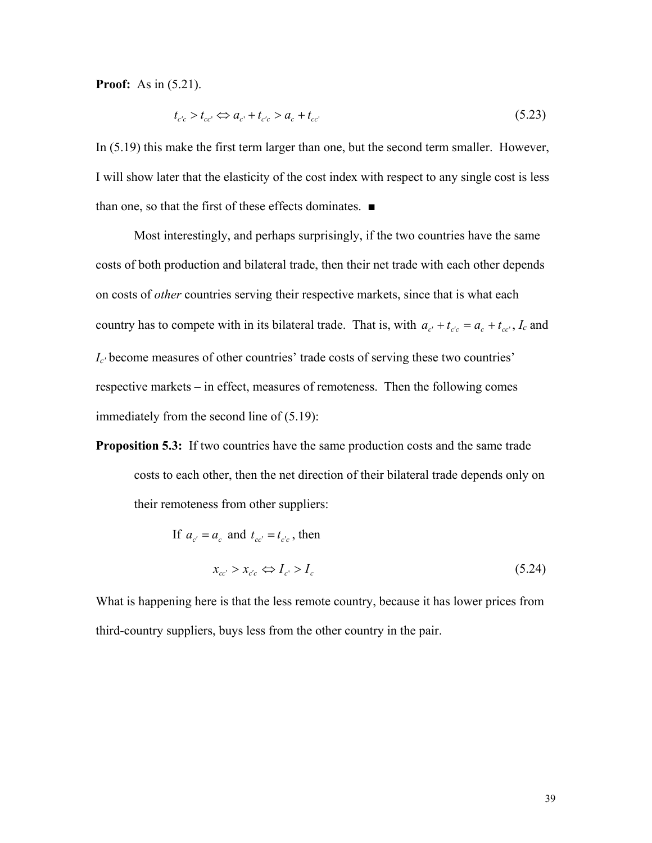**Proof:** As in (5.21).

$$
t_{c'c} > t_{cc'} \Leftrightarrow a_{c'} + t_{c'c} > a_c + t_{cc'} \tag{5.23}
$$

In (5.19) this make the first term larger than one, but the second term smaller. However, I will show later that the elasticity of the cost index with respect to any single cost is less than one, so that the first of these effects dominates. ■

Most interestingly, and perhaps surprisingly, if the two countries have the same costs of both production and bilateral trade, then their net trade with each other depends on costs of *other* countries serving their respective markets, since that is what each country has to compete with in its bilateral trade. That is, with  $a_c + t_{cc} = a_c + t_{cc'}$ ,  $I_c$  and *Ic'* become measures of other countries' trade costs of serving these two countries' respective markets – in effect, measures of remoteness. Then the following comes immediately from the second line of (5.19):

**Proposition 5.3:** If two countries have the same production costs and the same trade costs to each other, then the net direction of their bilateral trade depends only on their remoteness from other suppliers:

If 
$$
a_{c'} = a_c
$$
 and  $t_{cc'} = t_{c'c}$ , then  

$$
x_{cc'} > x_{c'c} \Leftrightarrow I_{c'} > I_c
$$
 (5.24)

What is happening here is that the less remote country, because it has lower prices from third-country suppliers, buys less from the other country in the pair.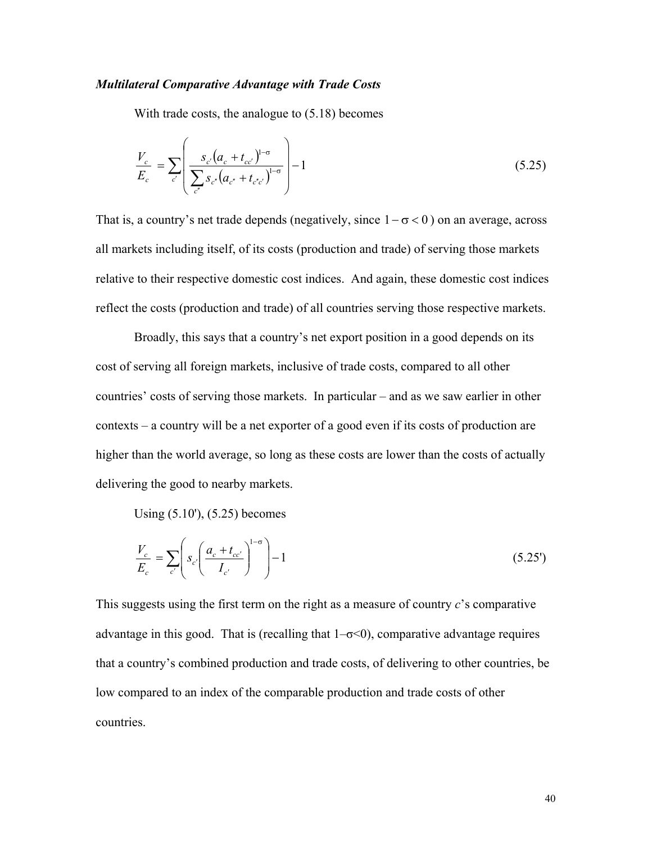#### *Multilateral Comparative Advantage with Trade Costs*

With trade costs, the analogue to  $(5.18)$  becomes

$$
\frac{V_c}{E_c} = \sum_{c'} \left( \frac{s_{c'} (a_c + t_{cc'})^{1-\sigma}}{\sum_{c''} s_{c''} (a_{c''} + t_{c''c'})^{1-\sigma}} \right) - 1
$$
\n(5.25)

That is, a country's net trade depends (negatively, since  $1-\sigma < 0$ ) on an average, across all markets including itself, of its costs (production and trade) of serving those markets relative to their respective domestic cost indices. And again, these domestic cost indices reflect the costs (production and trade) of all countries serving those respective markets.

 Broadly, this says that a country's net export position in a good depends on its cost of serving all foreign markets, inclusive of trade costs, compared to all other countries' costs of serving those markets. In particular – and as we saw earlier in other contexts – a country will be a net exporter of a good even if its costs of production are higher than the world average, so long as these costs are lower than the costs of actually delivering the good to nearby markets.

Using (5.10'), (5.25) becomes

$$
\frac{V_c}{E_c} = \sum_{c'} \left( s_{c'} \left( \frac{a_c + t_{cc'}}{I_{c'}} \right)^{1-\sigma} \right) - 1 \tag{5.25'}
$$

This suggests using the first term on the right as a measure of country *c*'s comparative advantage in this good. That is (recalling that  $1-\sigma<0$ ), comparative advantage requires that a country's combined production and trade costs, of delivering to other countries, be low compared to an index of the comparable production and trade costs of other countries.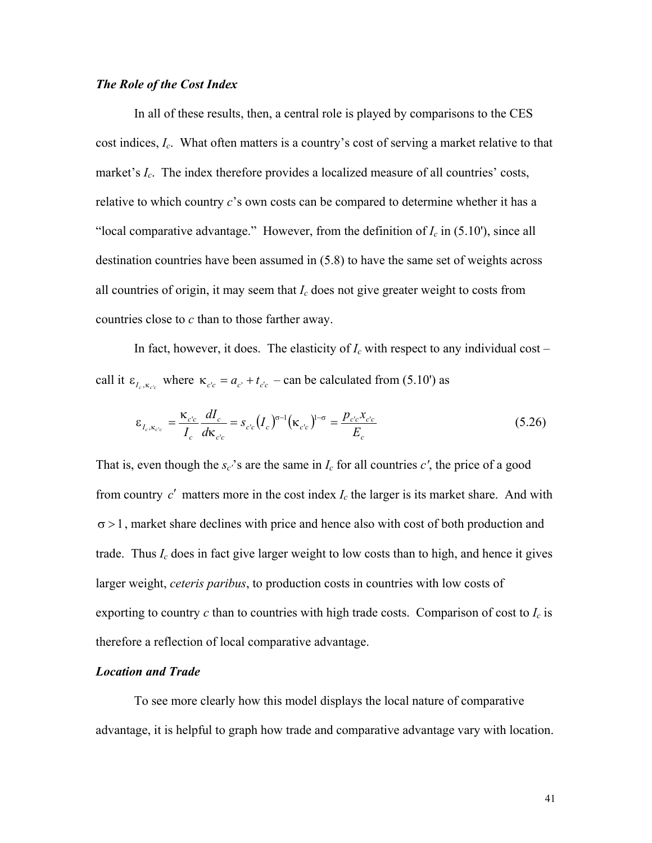# *The Role of the Cost Index*

 In all of these results, then, a central role is played by comparisons to the CES cost indices, *Ic*. What often matters is a country's cost of serving a market relative to that market's *I<sub>c</sub>*. The index therefore provides a localized measure of all countries' costs, relative to which country *c*'s own costs can be compared to determine whether it has a "local comparative advantage." However, from the definition of  $I_c$  in (5.10'), since all destination countries have been assumed in (5.8) to have the same set of weights across all countries of origin, it may seem that  $I_c$  does not give greater weight to costs from countries close to *c* than to those farther away.

In fact, however, it does. The elasticity of  $I_c$  with respect to any individual cost – call it  $\varepsilon_{I_c, \kappa_{c,c}}$  where  $\kappa_{c'c} = a_{c'} + t_{c'c}$  – can be calculated from (5.10') as

$$
\varepsilon_{I_c, \kappa_{c'c}} = \frac{\kappa_{c'c}}{I_c} \frac{dI_c}{d\kappa_{c'c}} = s_{c'c} (I_c)^{\sigma - 1} (\kappa_{c'c})^{1 - \sigma} = \frac{p_{c'c} x_{c'c}}{E_c}
$$
(5.26)

That is, even though the  $s_c$ 's are the same in  $I_c$  for all countries  $c'$ , the price of a good from country *c*′ matters more in the cost index *Ic* the larger is its market share. And with  $\sigma$  > 1, market share declines with price and hence also with cost of both production and trade. Thus *Ic* does in fact give larger weight to low costs than to high, and hence it gives larger weight, *ceteris paribus*, to production costs in countries with low costs of exporting to country  $c$  than to countries with high trade costs. Comparison of cost to  $I_c$  is therefore a reflection of local comparative advantage.

#### *Location and Trade*

 To see more clearly how this model displays the local nature of comparative advantage, it is helpful to graph how trade and comparative advantage vary with location.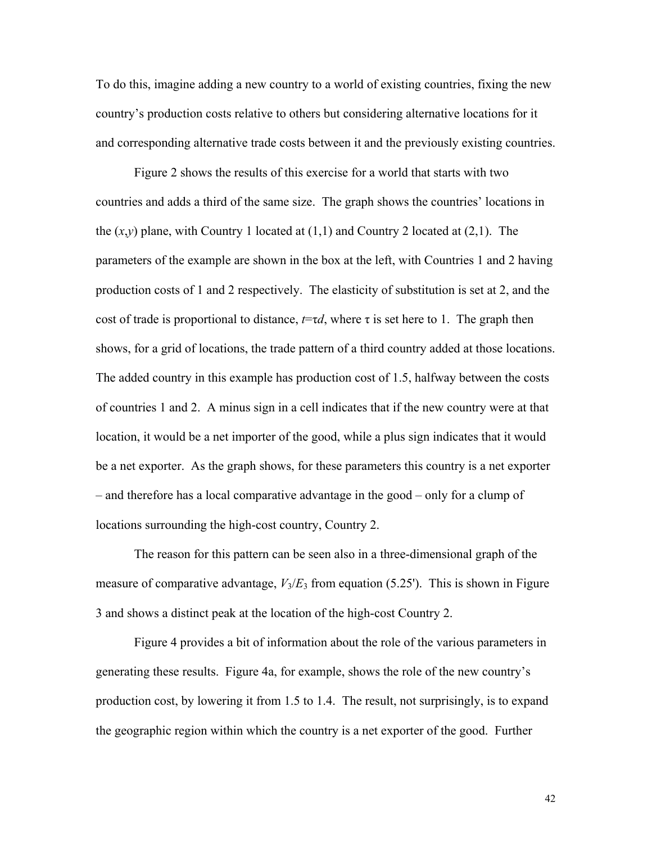To do this, imagine adding a new country to a world of existing countries, fixing the new country's production costs relative to others but considering alternative locations for it and corresponding alternative trade costs between it and the previously existing countries.

Figure 2 shows the results of this exercise for a world that starts with two countries and adds a third of the same size. The graph shows the countries' locations in the  $(x,y)$  plane, with Country 1 located at  $(1,1)$  and Country 2 located at  $(2,1)$ . The parameters of the example are shown in the box at the left, with Countries 1 and 2 having production costs of 1 and 2 respectively. The elasticity of substitution is set at 2, and the cost of trade is proportional to distance,  $t = \tau d$ , where  $\tau$  is set here to 1. The graph then shows, for a grid of locations, the trade pattern of a third country added at those locations. The added country in this example has production cost of 1.5, halfway between the costs of countries 1 and 2. A minus sign in a cell indicates that if the new country were at that location, it would be a net importer of the good, while a plus sign indicates that it would be a net exporter. As the graph shows, for these parameters this country is a net exporter – and therefore has a local comparative advantage in the good – only for a clump of locations surrounding the high-cost country, Country 2.

The reason for this pattern can be seen also in a three-dimensional graph of the measure of comparative advantage,  $V_3/E_3$  from equation (5.25'). This is shown in Figure 3 and shows a distinct peak at the location of the high-cost Country 2.

Figure 4 provides a bit of information about the role of the various parameters in generating these results. Figure 4a, for example, shows the role of the new country's production cost, by lowering it from 1.5 to 1.4. The result, not surprisingly, is to expand the geographic region within which the country is a net exporter of the good. Further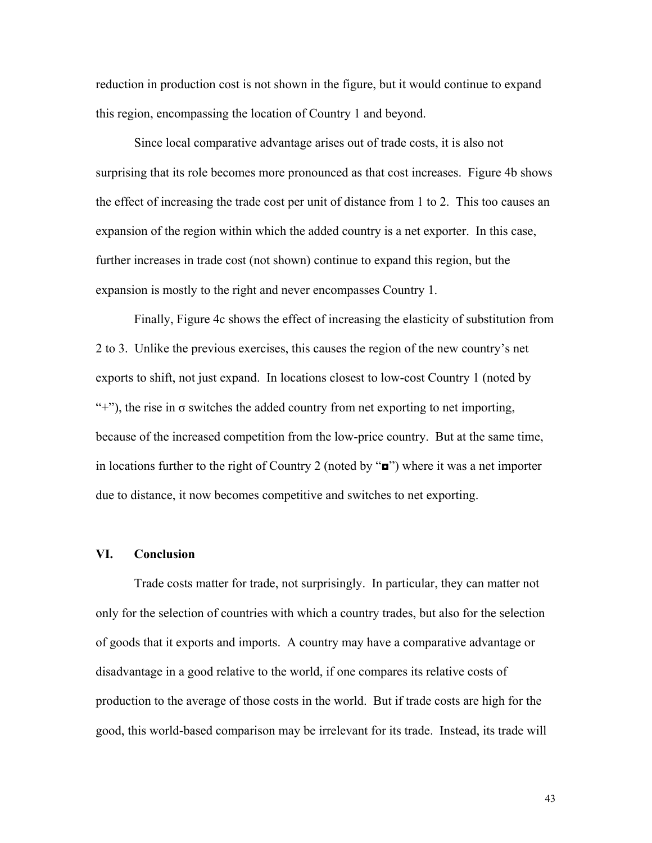reduction in production cost is not shown in the figure, but it would continue to expand this region, encompassing the location of Country 1 and beyond.

Since local comparative advantage arises out of trade costs, it is also not surprising that its role becomes more pronounced as that cost increases. Figure 4b shows the effect of increasing the trade cost per unit of distance from 1 to 2. This too causes an expansion of the region within which the added country is a net exporter. In this case, further increases in trade cost (not shown) continue to expand this region, but the expansion is mostly to the right and never encompasses Country 1.

Finally, Figure 4c shows the effect of increasing the elasticity of substitution from 2 to 3. Unlike the previous exercises, this causes the region of the new country's net exports to shift, not just expand. In locations closest to low-cost Country 1 (noted by " $+$ "), the rise in  $\sigma$  switches the added country from net exporting to net importing, because of the increased competition from the low-price country. But at the same time, in locations further to the right of Country 2 (noted by " $\mathbf{a}$ ") where it was a net importer due to distance, it now becomes competitive and switches to net exporting.

#### **VI. Conclusion**

Trade costs matter for trade, not surprisingly. In particular, they can matter not only for the selection of countries with which a country trades, but also for the selection of goods that it exports and imports. A country may have a comparative advantage or disadvantage in a good relative to the world, if one compares its relative costs of production to the average of those costs in the world. But if trade costs are high for the good, this world-based comparison may be irrelevant for its trade. Instead, its trade will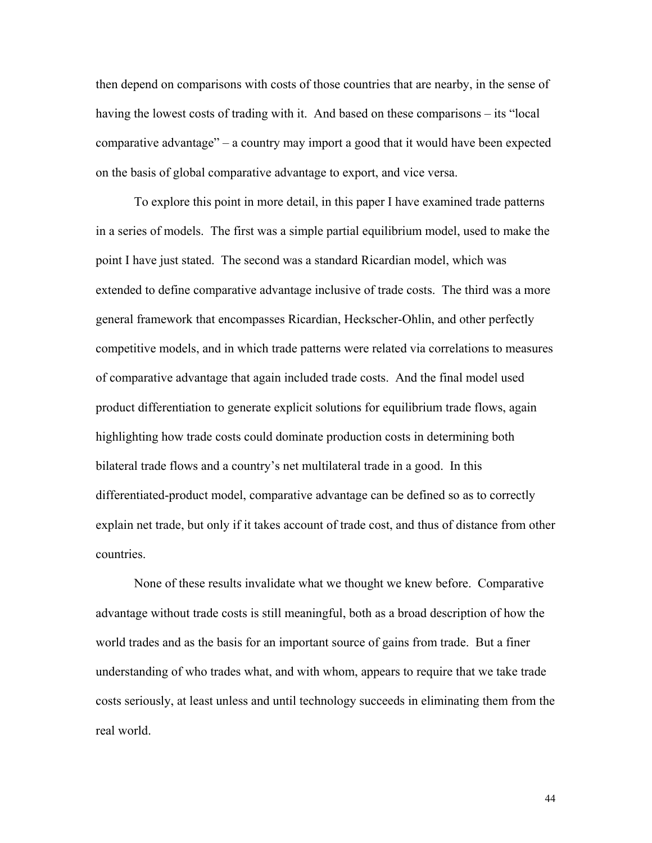then depend on comparisons with costs of those countries that are nearby, in the sense of having the lowest costs of trading with it. And based on these comparisons – its "local comparative advantage" – a country may import a good that it would have been expected on the basis of global comparative advantage to export, and vice versa.

To explore this point in more detail, in this paper I have examined trade patterns in a series of models. The first was a simple partial equilibrium model, used to make the point I have just stated. The second was a standard Ricardian model, which was extended to define comparative advantage inclusive of trade costs. The third was a more general framework that encompasses Ricardian, Heckscher-Ohlin, and other perfectly competitive models, and in which trade patterns were related via correlations to measures of comparative advantage that again included trade costs. And the final model used product differentiation to generate explicit solutions for equilibrium trade flows, again highlighting how trade costs could dominate production costs in determining both bilateral trade flows and a country's net multilateral trade in a good. In this differentiated-product model, comparative advantage can be defined so as to correctly explain net trade, but only if it takes account of trade cost, and thus of distance from other countries.

None of these results invalidate what we thought we knew before. Comparative advantage without trade costs is still meaningful, both as a broad description of how the world trades and as the basis for an important source of gains from trade. But a finer understanding of who trades what, and with whom, appears to require that we take trade costs seriously, at least unless and until technology succeeds in eliminating them from the real world.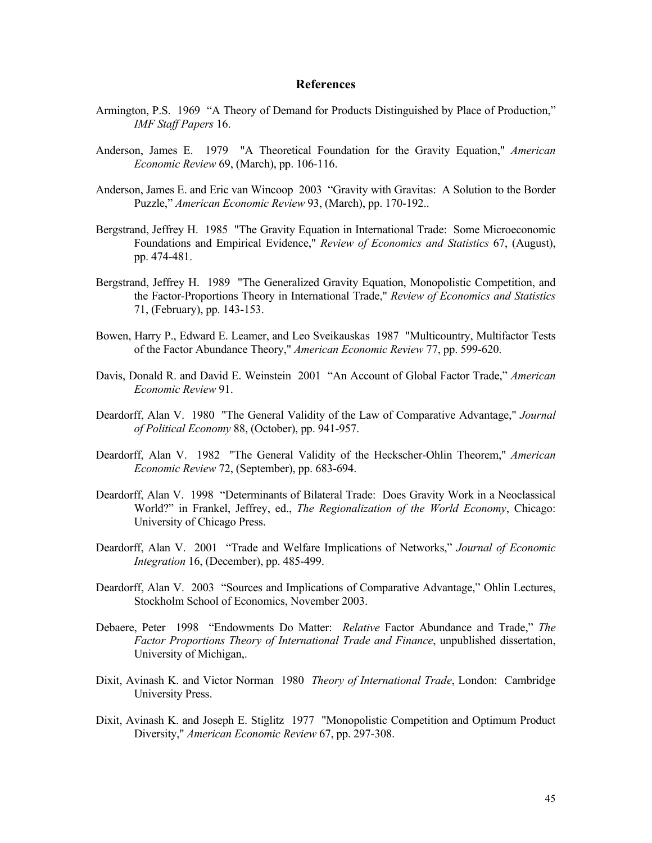#### **References**

- Armington, P.S. 1969 "A Theory of Demand for Products Distinguished by Place of Production," *IMF Staff Papers* 16.
- Anderson, James E. 1979 "A Theoretical Foundation for the Gravity Equation," *American Economic Review* 69, (March), pp. 106-116.
- Anderson, James E. and Eric van Wincoop 2003 "Gravity with Gravitas: A Solution to the Border Puzzle," *American Economic Review* 93, (March), pp. 170-192..
- Bergstrand, Jeffrey H. 1985 "The Gravity Equation in International Trade: Some Microeconomic Foundations and Empirical Evidence," *Review of Economics and Statistics* 67, (August), pp. 474-481.
- Bergstrand, Jeffrey H. 1989 "The Generalized Gravity Equation, Monopolistic Competition, and the Factor-Proportions Theory in International Trade," *Review of Economics and Statistics* 71, (February), pp. 143-153.
- Bowen, Harry P., Edward E. Leamer, and Leo Sveikauskas 1987 "Multicountry, Multifactor Tests of the Factor Abundance Theory," *American Economic Review* 77, pp. 599-620.
- Davis, Donald R. and David E. Weinstein 2001 "An Account of Global Factor Trade," *American Economic Review* 91.
- Deardorff, Alan V. 1980 "The General Validity of the Law of Comparative Advantage," *Journal of Political Economy* 88, (October), pp. 941-957.
- Deardorff, Alan V. 1982 "The General Validity of the Heckscher-Ohlin Theorem," *American Economic Review* 72, (September), pp. 683-694.
- Deardorff, Alan V. 1998 "Determinants of Bilateral Trade: Does Gravity Work in a Neoclassical World?" in Frankel, Jeffrey, ed., *The Regionalization of the World Economy*, Chicago: University of Chicago Press.
- Deardorff, Alan V. 2001 "Trade and Welfare Implications of Networks," *Journal of Economic Integration* 16, (December), pp. 485-499.
- Deardorff, Alan V. 2003 "Sources and Implications of Comparative Advantage," Ohlin Lectures, Stockholm School of Economics, November 2003.
- Debaere, Peter 1998 "Endowments Do Matter: *Relative* Factor Abundance and Trade," *The Factor Proportions Theory of International Trade and Finance*, unpublished dissertation, University of Michigan,.
- Dixit, Avinash K. and Victor Norman 1980 *Theory of International Trade*, London: Cambridge University Press.
- Dixit, Avinash K. and Joseph E. Stiglitz 1977 "Monopolistic Competition and Optimum Product Diversity," *American Economic Review* 67, pp. 297-308.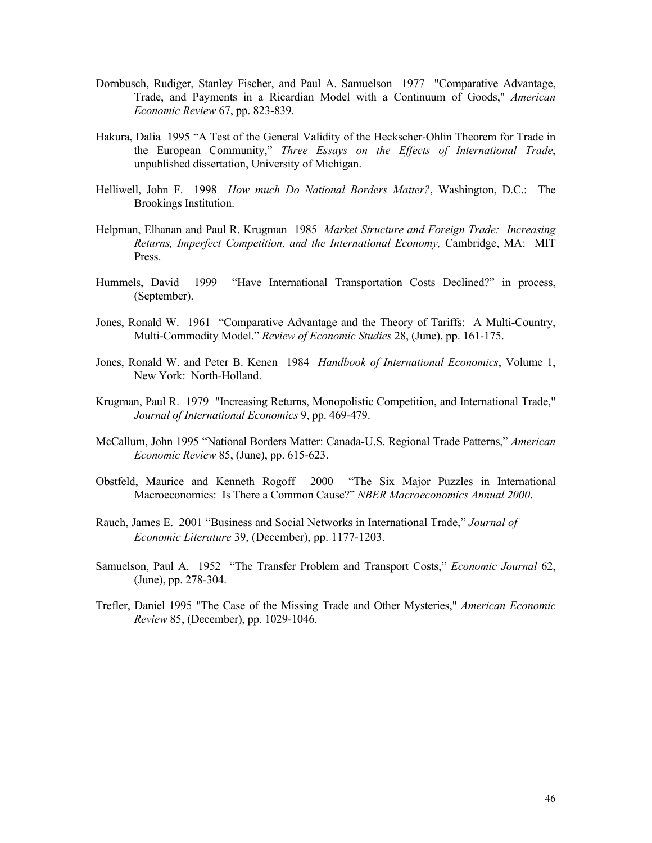- Dornbusch, Rudiger, Stanley Fischer, and Paul A. Samuelson 1977 "Comparative Advantage, Trade, and Payments in a Ricardian Model with a Continuum of Goods," *American Economic Review* 67, pp. 823-839.
- Hakura, Dalia 1995 "A Test of the General Validity of the Heckscher-Ohlin Theorem for Trade in the European Community," *Three Essays on the Effects of International Trade*, unpublished dissertation, University of Michigan.
- Helliwell, John F. 1998 *How much Do National Borders Matter?*, Washington, D.C.: The Brookings Institution.
- Helpman, Elhanan and Paul R. Krugman 1985 *Market Structure and Foreign Trade: Increasing Returns, Imperfect Competition, and the International Economy,* Cambridge, MA: MIT Press.
- Hummels, David 1999 "Have International Transportation Costs Declined?" in process, (September).
- Jones, Ronald W. 1961 "Comparative Advantage and the Theory of Tariffs: A Multi-Country, Multi-Commodity Model," *Review of Economic Studies* 28, (June), pp. 161-175.
- Jones, Ronald W. and Peter B. Kenen 1984 *Handbook of International Economics*, Volume 1, New York: North-Holland.
- Krugman, Paul R. 1979 "Increasing Returns, Monopolistic Competition, and International Trade," *Journal of International Economics* 9, pp. 469-479.
- McCallum, John 1995 "National Borders Matter: Canada-U.S. Regional Trade Patterns," *American Economic Review* 85, (June), pp. 615-623.
- Obstfeld, Maurice and Kenneth Rogoff 2000 "The Six Major Puzzles in International Macroeconomics: Is There a Common Cause?" *NBER Macroeconomics Annual 2000*.
- Rauch, James E. 2001 "Business and Social Networks in International Trade," *Journal of Economic Literature* 39, (December), pp. 1177-1203.
- Samuelson, Paul A. 1952 "The Transfer Problem and Transport Costs," *Economic Journal* 62, (June), pp. 278-304.
- Trefler, Daniel 1995 "The Case of the Missing Trade and Other Mysteries," *American Economic Review* 85, (December), pp. 1029-1046.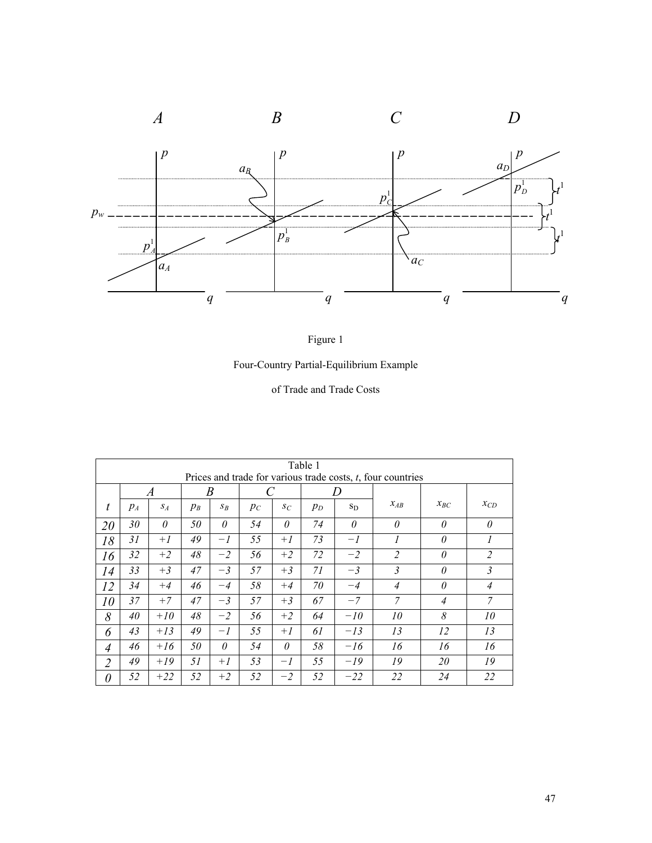



Four-Country Partial-Equilibrium Example

of Trade and Trade Costs

|                |       |                  |       |          |       |          | Table 1 |          |                                                                |                |                |
|----------------|-------|------------------|-------|----------|-------|----------|---------|----------|----------------------------------------------------------------|----------------|----------------|
|                |       |                  |       |          |       |          |         |          | Prices and trade for various trade costs, $t$ , four countries |                |                |
|                |       | $\boldsymbol{A}$ |       | B        | C     |          |         | I)       |                                                                |                |                |
| t              | $p_A$ | $S_A$            | $p_B$ | $S_B$    | $p_C$ | $S_C$    | $p_D$   | $S_{D}$  | $x_{AB}$                                                       | $x_{BC}$       | $x_{CD}$       |
| 20             | 30    | $\theta$         | 50    | $\theta$ | 54    | 0        | 74      | $\theta$ | $\theta$                                                       | $\theta$       | $\theta$       |
| 18             | 31    | $+1$             | 49    | $-I$     | 55    | $+1$     | 73      | $-I$     | 1                                                              | $\theta$       | 1              |
| 16             | 32    | $+2$             | 48    | $-2$     | 56    | $+2$     | 72      | $-2$     | $\overline{c}$                                                 | $\theta$       | $\overline{c}$ |
| 14             | 33    | $+3$             | 47    | $-3$     | 57    | $+3$     | 71      | $-3$     | $\mathfrak{Z}$                                                 | $\theta$       | $\mathfrak{Z}$ |
| 12             | 34    | $+4$             | 46    | $-4$     | 58    | $+4$     | 70      | $-4$     | $\overline{4}$                                                 | $\theta$       | $\overline{4}$ |
| 10             | 37    | $+7$             | 47    | $-3$     | 57    | $+3$     | 67      | $-7$     | 7                                                              | $\overline{4}$ | $\overline{7}$ |
| 8              | 40    | $+10$            | 48    | $-2$     | 56    | $+2$     | 64      | $-I0$    | 10                                                             | 8              | 10             |
| 6              | 43    | $+13$            | 49    | $-I$     | 55    | $+1$     | 61      | $-I3$    | 13                                                             | 12             | 13             |
| $\overline{4}$ | 46    | $+16$            | 50    | $\theta$ | 54    | $\theta$ | 58      | $-l6$    | 16                                                             | 16             | 16             |
| $\overline{2}$ | 49    | $+19$            | 51    | $+1$     | 53    | $-I$     | 55      | $-l9$    | 19                                                             | 20             | 19             |
| 0              | 52    | $+22$            | 52    | $+2$     | 52    | $-2$     | 52      | $-22$    | 22                                                             | 24             | 22             |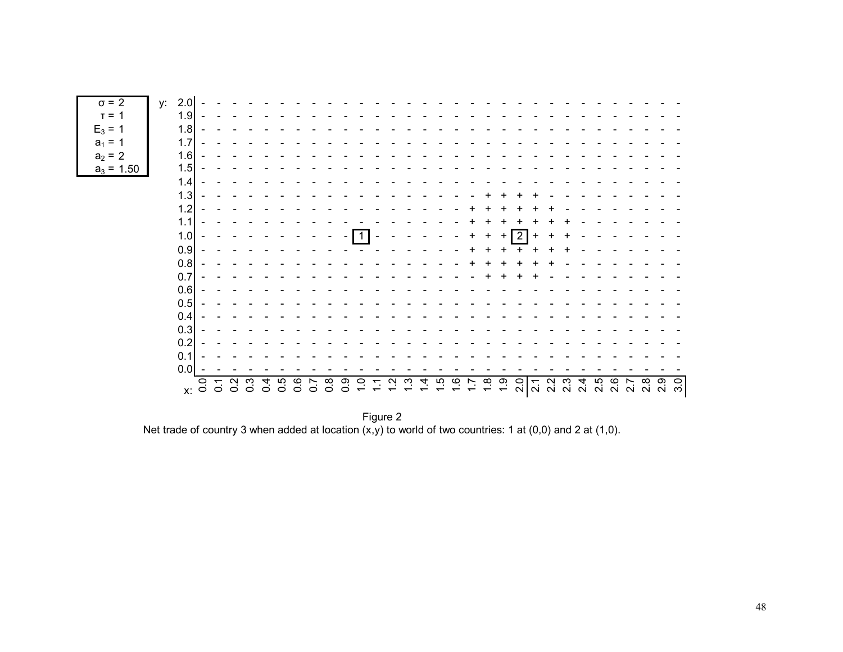| y: | 2.0 |  |  |  |  |  |
|----|-----|--|--|--|--|--|
|    | 1.9 |  |  |  |  |  |
|    | 1.8 |  |  |  |  |  |
|    | 1.7 |  |  |  |  |  |
|    | 1.6 |  |  |  |  |  |
|    | 1.5 |  |  |  |  |  |
|    | 1.4 |  |  |  |  |  |
|    | 1.3 |  |  |  |  |  |
|    | 1.2 |  |  |  |  |  |
|    | 1.1 |  |  |  |  |  |
|    | 1.0 |  |  |  |  |  |
|    | 0.9 |  |  |  |  |  |
|    | 0.8 |  |  |  |  |  |
|    |     |  |  |  |  |  |

| 0.9<br>0.8        |      |                  |              |    |   |                  |     |               |                     |               | $\cdot$ 1 $\cdot$         |   |        |   |   |     |         |   | + | $+1$                           | $\sqrt{2}$                                              | $\ddot{}$<br>+ |     |                |  |  |                                 |  |
|-------------------|------|------------------|--------------|----|---|------------------|-----|---------------|---------------------|---------------|---------------------------|---|--------|---|---|-----|---------|---|---|--------------------------------|---------------------------------------------------------|----------------|-----|----------------|--|--|---------------------------------|--|
| 0.7<br>0.6<br>0.5 |      |                  |              |    |   |                  |     |               |                     |               |                           |   |        |   |   |     |         |   |   |                                |                                                         |                |     |                |  |  |                                 |  |
| 0.4<br>0.3<br>0.2 |      |                  |              |    |   |                  |     |               |                     |               |                           |   |        |   |   |     |         |   |   |                                |                                                         |                |     |                |  |  |                                 |  |
| 0.1<br>0.0        | x: 0 | $\overline{0}$ . | Ņ<br>$\circ$ | نى | 4 | $\overline{0.5}$ | 0.6 | r.<br>$\circ$ | $\infty$<br>$\circ$ | တ္<br>$\circ$ | $\circ$<br>$\overline{ }$ | ↽ | $\sim$ | ო | 4 | LΩ. | $\circ$ | ∼ | œ | တ္<br>$\overline{\phantom{0}}$ | $\frac{1}{2}$ $\frac{1}{2}$ $\frac{1}{2}$ $\frac{1}{2}$ |                | 2.3 | $\overline{c}$ |  |  | 2.5<br>2.6<br>2.7<br>2.9<br>3.0 |  |

Figure 2<br>Net trade of country 3 when added at location (x,y) to world of two countries: 1 at (0,0) and 2 at (1,0).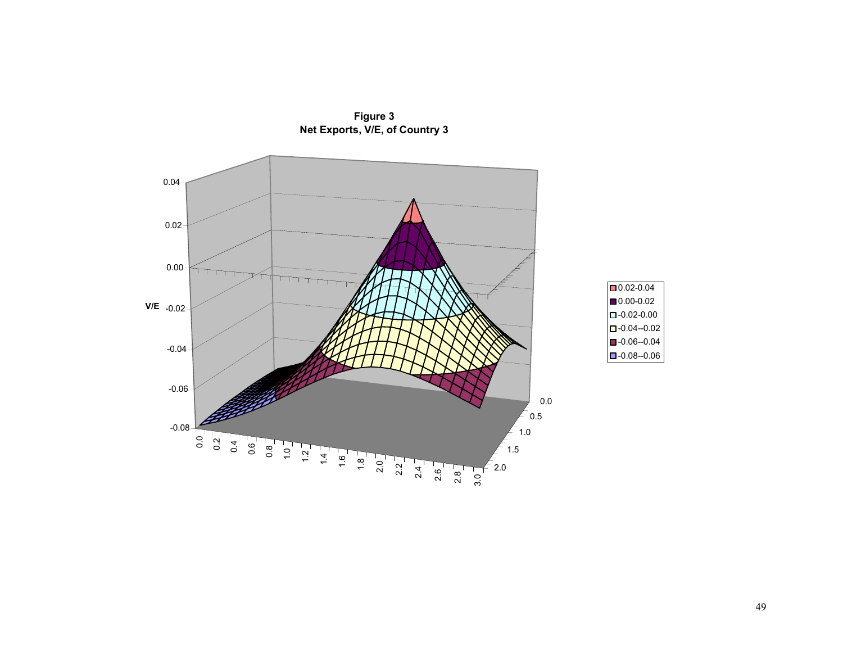

**Figure 3 Net Exports, V/E, of Country 3**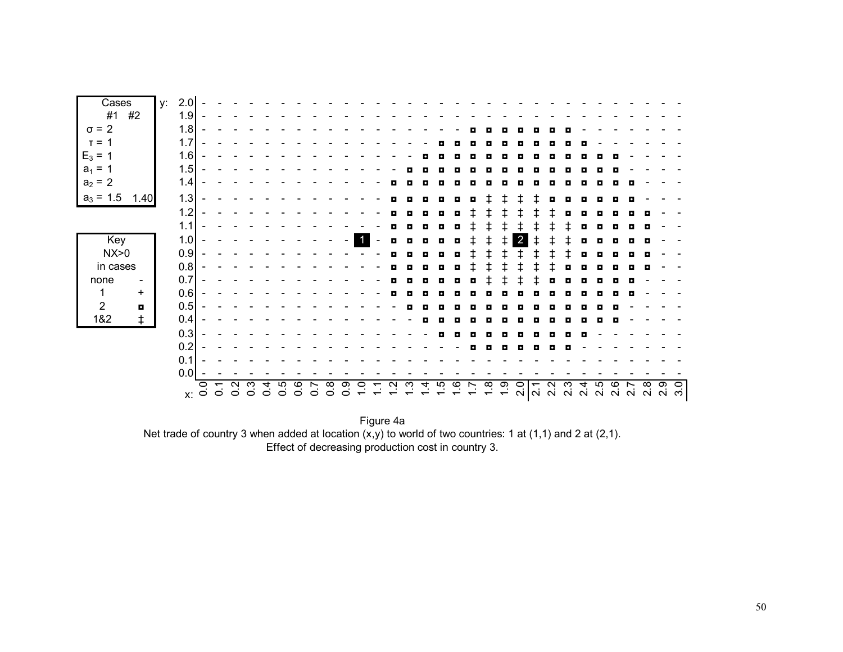| Cases                            | y: | 2.0 |            |                          |         |         |         |         |         |   |          |   |   |        |   |                |   |           |          |                          |                |  |  |                                                                                                                                                                                             |  |                |  |
|----------------------------------|----|-----|------------|--------------------------|---------|---------|---------|---------|---------|---|----------|---|---|--------|---|----------------|---|-----------|----------|--------------------------|----------------|--|--|---------------------------------------------------------------------------------------------------------------------------------------------------------------------------------------------|--|----------------|--|
| #1 #2                            |    | 1.9 |            |                          |         |         |         |         |         |   |          |   |   |        |   |                |   |           |          |                          |                |  |  |                                                                                                                                                                                             |  |                |  |
| $\sigma = 2$                     |    | 1.8 |            |                          |         |         |         |         |         |   |          |   |   |        |   |                |   |           |          |                          |                |  |  |                                                                                                                                                                                             |  |                |  |
| -1<br>$T =$                      |    | 1.7 |            |                          |         |         |         |         |         |   |          |   |   |        |   |                |   |           |          |                          |                |  |  |                                                                                                                                                                                             |  |                |  |
| $E_3 = 1$                        |    | 1.6 |            |                          |         |         |         |         |         |   |          |   |   |        |   |                |   |           |          |                          |                |  |  |                                                                                                                                                                                             |  |                |  |
| $a_1 =$<br>1                     |    | 1.5 |            |                          |         |         |         |         |         |   |          |   |   |        |   |                |   |           |          |                          |                |  |  |                                                                                                                                                                                             |  |                |  |
| $a_2 = 2$                        |    | 1.4 |            |                          |         |         |         |         |         |   |          |   |   |        |   |                |   |           |          |                          |                |  |  |                                                                                                                                                                                             |  |                |  |
|                                  |    |     |            |                          |         |         |         |         |         |   |          |   |   |        |   |                |   |           |          |                          |                |  |  |                                                                                                                                                                                             |  |                |  |
| $a_3 = 1.5$<br>1.40              |    | 1.3 |            |                          |         |         |         |         |         |   |          |   |   |        |   |                |   |           |          |                          |                |  |  |                                                                                                                                                                                             |  |                |  |
|                                  |    | 1.2 |            |                          |         |         |         |         |         |   |          |   |   |        |   | О              | ы | o         |          |                          |                |  |  |                                                                                                                                                                                             |  |                |  |
|                                  |    | 1.1 |            |                          |         |         |         |         |         |   |          |   |   |        |   | О              | О | о         |          |                          |                |  |  |                                                                                                                                                                                             |  |                |  |
| Key                              |    | 1.0 |            |                          |         |         |         |         |         |   |          |   |   | о      | o | o              | o | o         |          |                          | $\overline{2}$ |  |  |                                                                                                                                                                                             |  |                |  |
| NX>0                             |    | 0.9 |            |                          |         |         |         |         |         |   |          |   |   |        |   |                |   | о         |          |                          |                |  |  |                                                                                                                                                                                             |  |                |  |
| in cases                         |    | 0.8 |            |                          |         |         |         |         |         |   |          |   |   |        |   |                |   | $\bullet$ |          |                          |                |  |  |                                                                                                                                                                                             |  |                |  |
| none                             |    | 0.7 |            |                          |         |         |         |         |         |   |          |   |   |        |   |                |   |           |          |                          |                |  |  |                                                                                                                                                                                             |  |                |  |
| $\ddot{}$                        |    | 0.6 |            |                          |         |         |         |         |         |   |          |   |   |        |   |                |   |           |          |                          |                |  |  |                                                                                                                                                                                             |  |                |  |
| $\overline{2}$<br>$\blacksquare$ |    | 0.5 |            |                          |         |         |         |         |         |   |          |   |   |        |   |                |   |           |          |                          |                |  |  |                                                                                                                                                                                             |  |                |  |
| 1&2<br>$\ddagger$                |    | 0.4 |            |                          |         |         |         |         |         |   |          |   |   |        |   |                |   |           |          |                          |                |  |  |                                                                                                                                                                                             |  |                |  |
|                                  |    | 0.3 |            |                          |         |         |         |         |         |   |          |   |   |        |   |                |   |           |          |                          |                |  |  |                                                                                                                                                                                             |  |                |  |
|                                  |    | 0.2 |            |                          |         |         |         |         |         |   |          |   |   |        |   |                |   |           |          |                          |                |  |  |                                                                                                                                                                                             |  |                |  |
|                                  |    | 0.1 |            |                          |         |         |         |         |         |   |          |   |   |        |   |                |   |           |          |                          |                |  |  |                                                                                                                                                                                             |  |                |  |
|                                  |    | 0.0 |            |                          |         |         |         |         |         |   |          |   |   |        |   |                |   |           |          |                          |                |  |  |                                                                                                                                                                                             |  |                |  |
|                                  |    |     |            | $\overline{\phantom{0}}$ | $\sim$  | က       | 4       | ပ       | ڢ       |   | $\infty$ | တ | 0 | $\sim$ | ო | $\overline{a}$ | ഹ | $\circ$   | $\infty$ | ၜ                        |                |  |  |                                                                                                                                                                                             |  |                |  |
|                                  |    |     | $x: \circ$ | $\circ$                  | $\circ$ | $\circ$ | $\circ$ | $\circ$ | $\circ$ | ⊂ | ⊂        | ▭ |   |        |   |                |   |           |          | $\overline{\phantom{0}}$ |                |  |  | $\begin{array}{c c} \hline C & \tau & \gamma & \eta & \tau & \tau & \phi & \tau & \phi \\ \hline \hline \lambda & \lambda & \lambda & \lambda & \lambda & \lambda & \lambda \\ \end{array}$ |  | $2.9$<br>$3.0$ |  |

Figure 4a<br>Net trade of country 3 when added at location (x,y) to world of two countries: 1 at (1,1) and 2 at (2,1).<br>Effect of decreasing production cost in country 3.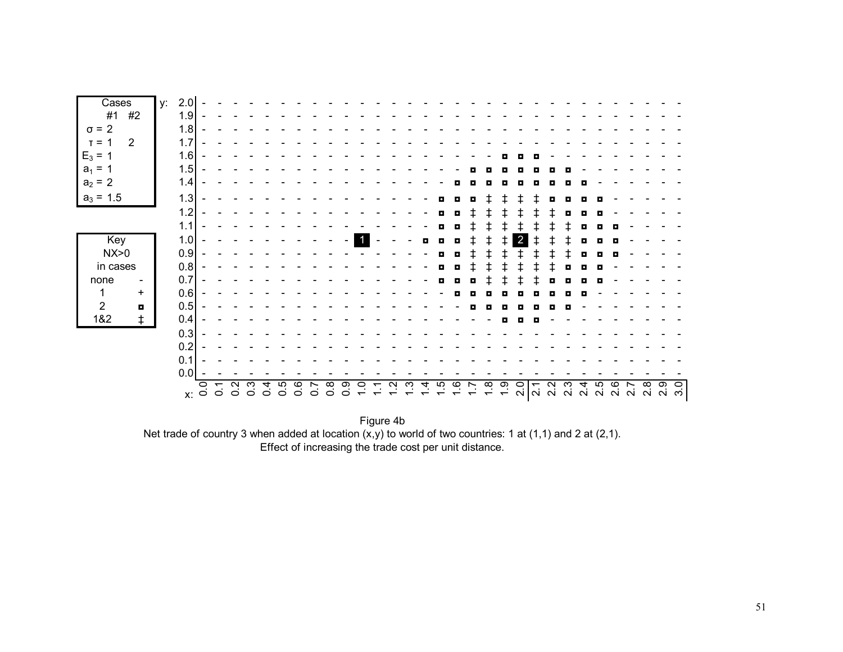| Cases                   | 2.0<br><b>y:</b> |                         |                           |              |              |              |               |              |         |              |   |   |        |   |   |   |   |          |                                |                      |   |                   |   |             |                        |   |               |                        |          |         |
|-------------------------|------------------|-------------------------|---------------------------|--------------|--------------|--------------|---------------|--------------|---------|--------------|---|---|--------|---|---|---|---|----------|--------------------------------|----------------------|---|-------------------|---|-------------|------------------------|---|---------------|------------------------|----------|---------|
| #1 #2                   | 1.9              |                         |                           |              |              |              |               |              |         |              |   |   |        |   |   |   |   |          |                                |                      |   |                   |   |             |                        |   |               |                        |          |         |
| $\sigma = 2$            | 1.8              |                         |                           |              |              |              |               |              |         |              |   |   |        |   |   |   |   |          |                                |                      |   |                   |   |             |                        |   |               |                        |          |         |
| $\overline{2}$<br>$T =$ | 1.7              |                         |                           |              |              |              |               |              |         |              |   |   |        |   |   |   |   |          |                                |                      |   |                   |   |             |                        |   |               |                        |          |         |
| $E_3 = 1$               | 1.6              |                         |                           |              |              |              |               |              |         |              |   |   |        |   |   |   |   |          |                                |                      |   |                   |   |             |                        |   |               |                        |          |         |
| $a_1 =$                 | 1.5              |                         |                           |              |              |              |               |              |         |              |   |   |        |   |   |   |   |          |                                |                      |   |                   |   |             |                        |   |               |                        |          |         |
| $a_2 = 2$               | 1.4              |                         |                           |              |              |              |               |              |         |              |   |   |        |   |   |   |   |          |                                |                      |   |                   |   |             |                        |   |               |                        |          |         |
| $a_3 = 1.5$             | 1.3              |                         |                           |              |              |              |               |              |         |              |   |   |        |   |   | ٠ |   |          |                                |                      |   |                   |   |             |                        |   |               |                        |          |         |
|                         | 1.2              |                         |                           |              |              |              |               |              |         |              |   |   |        |   |   | o |   |          |                                |                      |   |                   |   |             |                        |   |               |                        |          |         |
|                         | 1.1              |                         |                           |              |              |              |               |              |         |              |   |   |        |   |   |   |   |          |                                |                      |   |                   |   |             |                        |   |               |                        |          |         |
| Key                     | 1.0              |                         |                           |              |              |              |               |              |         |              |   |   |        |   |   | о | О |          |                                | 2                    |   |                   |   |             |                        |   |               |                        |          |         |
| NX>0                    | 0.9              |                         |                           |              |              |              |               |              |         |              |   |   |        |   |   |   | о |          |                                |                      |   |                   |   |             |                        |   |               |                        |          |         |
| in cases                | 0.8              |                         |                           |              |              |              |               |              |         |              |   |   |        |   |   |   |   |          |                                |                      |   |                   |   |             |                        |   |               |                        |          |         |
|                         | 0.7              |                         |                           |              |              |              |               |              |         |              |   |   |        |   |   |   |   |          |                                |                      |   |                   |   |             |                        |   |               |                        |          |         |
| none<br>1<br>$\pm$      | 0.6              |                         |                           |              |              |              |               |              |         |              |   |   |        |   |   |   |   |          |                                |                      |   |                   |   |             |                        |   |               |                        |          |         |
| $\overline{2}$          | 0.5              |                         |                           |              |              |              |               |              |         |              |   |   |        |   |   |   |   |          |                                |                      |   |                   |   |             |                        |   |               |                        |          |         |
| o<br>1&2<br>$\ddagger$  | 0.4              |                         |                           |              |              |              |               |              |         |              |   |   |        |   |   |   |   |          |                                |                      |   |                   |   |             |                        |   |               |                        |          |         |
|                         |                  |                         |                           |              |              |              |               |              |         |              |   |   |        |   |   |   |   |          |                                |                      |   |                   |   |             |                        |   |               |                        |          |         |
|                         | 0.3              |                         |                           |              |              |              |               |              |         |              |   |   |        |   |   |   |   |          |                                |                      |   |                   |   |             |                        |   |               |                        |          |         |
|                         | 0.2              |                         |                           |              |              |              |               |              |         |              |   |   |        |   |   |   |   |          |                                |                      |   |                   |   |             |                        |   |               |                        |          |         |
|                         | 0.1              |                         |                           |              |              |              |               |              |         |              |   |   |        |   |   |   |   |          |                                |                      |   |                   |   |             |                        |   |               |                        |          |         |
|                         | 0.0              |                         |                           |              |              |              |               |              |         |              | တ | ⊂ | $\sim$ | ო |   | ഥ | ဖ |          |                                |                      |   |                   | ო |             |                        | ဖ |               |                        |          |         |
|                         |                  | $\circ$<br>$x:$ $\circ$ | $\overline{ }$<br>$\circ$ | Ņ<br>$\circ$ | က<br>$\circ$ | 4<br>$\circ$ | က္<br>$\circ$ | ِ<br>$\circ$ | $\circ$ | œ<br>$\circ$ | ○ |   |        |   | 4 |   |   | $\infty$ | တ္<br>$\overline{\phantom{0}}$ | $\circ$<br>$N$  NNNN | ↽ | $\mathbf{\Omega}$ |   | 4<br>$\sim$ | ഥ<br>$\mathbf{\Omega}$ |   | $\sim$ $\sim$ | œ<br>$\mathbf{\Omega}$ | တ<br>വ ന | $\circ$ |

Figure 4b<br>Net trade of country 3 when added at location (x,y) to world of two countries: 1 at (1,1) and 2 at (2,1).<br>Effect of increasing the trade cost per unit distance.